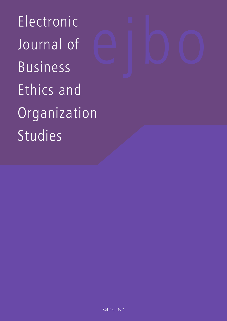Electronic<br>Journal of<br>Business Journal of Business Ethics and Organization Studies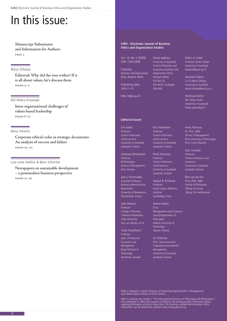**EJBO** Electronic Journal of Business Ethics and Organization Studies

# In this issue:

**Manuscript Submission and Information for Authors** page 3

#### Mario Siltaoja

**Editorial: Why did the rose wither? If it is all about values, let's discuss them** pages 4–5

Olli-Pekka Viinamäki

**Intra-organizational challenges of values-based leadership** pages 6–13

#### Betsy Stevens

**Corporate ethical codes as strategic documents: An analysis of success and failure** pages 14–20

#### Lise-Lotte Hellöre & Björn Vikström

**Newspapers on sustainable development – a postmodern business perspective** pages 21–30

#### **EJBO - Electronic Journal of Business Ethics and Organization Studies**

Vol. 14, No. 2 (2009) ISSN 1239-2685

Publisher: Business and Organization Ethics Network (BON)

Publishing date:

http://ejbo.jyu.fi/

#### **Editorial board**

Iiris Aaltio Professor School of Business University of Jyväskylä Jyväskylä, Finland

Johannes Brinkmann Professor BI Norwegian School of Management Oslo, Norway

Zoe S. Dimitriades Associate Professor Business Administration **Department** University of Macedonia Thessaloniki, Greece

John Dobson Professor College of Business California Polytechnic State University San Luis Opisbo, U.S.A.

Claes Gustafsson Professor Dept. of Industrial Economics and Management Royal Institute of Technology Stockholm, Sweden

Postal address: University of Jyväskylä, School of Business and Economics, Business and Organization Ethics Network (BON), P.O. Box 35, FIN-40351 Jyväskylä, FINLAND

Kari Heimonen Professor School of Business and Economics University of Jyväskylä Jyväskylä, Finland Pertti Kettunen Professor School of Business

University of Jyväskylä Jyväskylä, Finland

Venkat R. Krishnan

Xavier Labour Relations

Professor

Institute Jamshedpur, India Janina Kubka

Editor in Chief: Professor Tuomo Takala University of Jyväskylä tatakala@econ.jyu.fi

Assistant Editor: Lic.Sc Marjo Siltaoja University of Jyväskylä marjo.siltaoja@econ.jyu.fi

Technical Editor: Mrs Hilkka Grahn University of Jyväskylä hilkka.grahn@jyu.fi

Anna Putnova Dr., PhD., MBA School of Management Brno University of Technology Brno, Czech Republic

Outi Uusitalo Professor School of Business and Economics University of Jyväskylä Jyväskylä, Finland

Bert van de Ven Ph.D. (Phil), MBA Faculty of Philosophy Tilburg University Tilburg, The Netherlands

Dr.Sc. Management and Economics Faculty/Department of Philosophy Gdansk University of Technology Gdansk, Poland

Ari Paloviita PhD., Senior Assistant Corporate Environmental Management University of Jyväskylä Jyväskylä, Finland

EJBO is indexed in Cabells Directory of Publishing Opportunities in Management and Global Digital Library on Ethics (GDLE).

EJBO is currently also listed in "The International Directory of Philosophy and Philosophers".<br>First published in 1965 with support of UNESCO, the listing provides information about<br>ongoing philosophic activity in more tha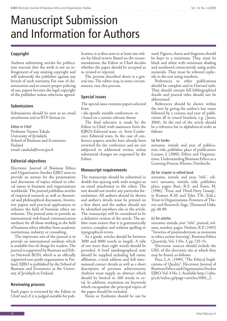# Manuscript Submission and Information for Authors

# **Copyright**

Authors submitting articles for publication warrant that the work is not an infringement of any existing copyright and will indemnify the publisher against any breach of such warranty. For ease of dissemination and to ensure proper policing of use, papers become the legal copyright of the publisher unless otherwise agreed.

# **Submissions**

Submissions should be sent as an email attachment and as RTF format to:

Editor in Chief Professor Tuomo Takala University of Jyväskylä School of Business and Economics Finland email: tatakala@econ.jyu.fi

### **Editorial objectives**

Electronic Journal of Business Ethics and Organization Studies EJBO aims to provide an avenue for the presentation and discussion of topics related to ethical issues in business and organizations worldwide. The journal publishes articles of empirical research as well as theoretical and philosophical discussion. Innovative papers and practical applications to enhance the field of business ethics are welcome. The journal aims to provide an international web-based communication medium for all those working in the field of business ethics whether from academic institutions, industry or consulting.

The important aim of the journal is to provide an international medium which is available free of charge for readers. The journal is supported by Business and Ethics Network BON, which is an officially registered non-profit organization in Finland. EJBO is published by the School of Business and Economics at the University of Jyväskylä in Finland.

### **Reviewing process**

Each paper is reviewed by the Editor in Chief and, if it is judged suitable for publication, it is then sent to at least one referee for blind review. Based on the recommendations, the Editor in Chief decides whether the paper should be accepted as is, revised or rejected.

The process described above is a general one. The editor may, in some circumstances, vary this process.

# **Special issues**

The special issue contains papers selected from

• the spesific suitable conferences or

• based on a certain relevant theme

The final selection is made by the Editor in Chief, with assistance from the EJBO's Editorial team or from Conference Editorial team. In the case of conference papers, articles have already been reviewed for the conference and are not subjected to additional review, unless substantial changes are requested by the Editor.

### **Manuscript requirements**

The manuscript should be submitted in double line spacing with wide margins as an email attachment to the editor. The text should not involve any particular formulations. All authors should be shown and author's details must be printed on a first sheet and the author should not be identified anywhere else in the article. The manuscript will be considered to be a definitive version of the article. The author must ensure that it is grammatically correct, complete and without spelling or typographical errors.

As a guide, articles should be between 3000 and 8000 words in length. A title of not more than eight words should be provided. A brief autobiographical note should be supplied including full name, affiliation, e-mail address and full international contact details as well as a short description of previous achievements. Authors must supply an abstract which should be limited to 200 words in total. In addition, maximum six keywords which encapsulate the principal topics of the paper should be included.

Notes or Endnotes should be not be

used. Figures, charts and diagrams should be kept to a minimum. They must be black and white with minimum shading and numbered consecutively using arabic numerals. They must be refereed explicitly in the text using numbers.

References to other publications should be complete and in Harvard style. They should contain full bibliographical details and journal titles should not be abbreviated.

References should be shown within the text by giving the author's last name followed by a comma and year of publication all in round brackets, e.g. ( Jones, 2004). At the end of the article should be a reference list in alphabetical order as follows

#### (a) for books

surname, initials and year of publication, title, publisher, place of publication: Lozano, J. (2000), Ethics and Organizations. Understanding Business Ethics as a Learning Process, Kluwer, Dordrecht.

#### (b) for chapter in edited book

surname, initials and year, "title", editor's surname, initials, title, publisher, place, pages: Burt, R.S. and Knez, M. (1996), "Trust and Third-Party Gossip", in Kramer, R.M. and Tyler, T.R. (Eds.), Trust in Organizations. Frontiers of Theory and Research, Sage, Thousand Oaks, pp. 68-89.

#### (c) for articles

surname, initials, year "title", journal, volume, number, pages: Nielsen, R.P. (1993) "Varieties of postmodernism as moments in ethics action-learning", Business Ethics Quarterly, Vol. 3 No. 3, pp. 725-33.

Electronic sources should include the URL of the electronic site at which they may be found, as follows:

Pace, L.A. (1999), "The Ethical Implications of Quality", Electronic Journal of Business Ethics and Organization Studies EJBO, Vol. 4 No. 1. Available http://ejbo. jyu.fi/index.cgi?page=articles/0401\_2.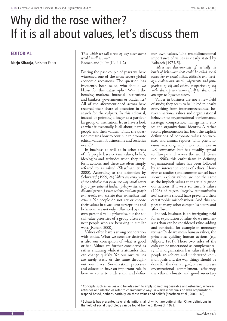# Why did the rose wither? If it is all about values, let's discuss them

# **EDITORIAL**

**Marjo Siltaoja**, Assistant Editor

*That which we call a rose by any other name would smell as sweet* Romeo and Juliet (II, ii, 1-2)

During the past couple of years we have witnessed one of the most severe global economic recessions. The question has frequently been asked, who should we blame for this catastrophe? Was it the housing markets, financial institutions and bankers, governments or academics? All of the aforementioned actors have received their share of attention in the search for the culprits. In this editorial, instead of pointing a finger at a particular group or institution, let us have a look at what it eventually is all about, namely people and their values. Thus, the question remains how to continue to promote ethical values in business life and societies overall?

In business as well as in other areas of life people have certain values, beliefs, ideologies and attitudes when they perform actions, and these are often simply referred to as *values*<sup>1</sup> (Sharfman et al., 2000). According to the definition by Schwartz2 (1999, 24) *Values are conceptions of the desirable that guide the way social actors (e.g. organizational leaders, policy-makers, individual persons) select actions, evaluate people and events, and explain their evaluations and actions.* Yet people do not act or choose their values in a vacuum; perceptions and behaviour are not only influenced by their own personal value priorities, but the social value priorities of a group often connect people who are behaving in similar ways (Rohan, 2000).

Values often have a strong connotation with ethics. What we consider desirable is also our conception of what is good or bad. Values are further considered as rather enduring while it is attitudes that can change quickly. Yet our own values are rarely static or the same throughout our lives. Socialization processes and education have an important role in how we come to understand and define

our own values. The multidimensional importance of values is clearly stated by Rokeach (1973, 5).

*Values are determinants of virtually all kinds of behaviour that could be called social behaviour or social action, attitudes and ideology, evaluations, moral judgements and justifications of self and others, comparison of self with others, presentations of self to others, and attempts to influence others.*

Values in business are not a new field of study; they seem to be linked to nearly everything from interconnectedness between national values and organizational behavior to organizational performance, strategic competence, management ethics and organizational identity. A rather recent phenomenon has been the explicit definitions of corporate values on websites and annual reports. This phenomenon was originally more common in US companies but has steadily spread to Europe and across the world. Since the 1990's, this enthusiasm in defining organizational values has been followed by an interest in codes of ethics. However, as studies (and common sense) have shown, explicit values are not the same as the implicit values that actually guide our actions. If it were so, Enron's values (1998) of *respect, integrity, communication and excellence* should have prevented their catastrophic misbehaviour. And this applies to many other companies before and after Enron.

Indeed, business is an intriguing field for an exploration of value; do we mean issues than can be considered value-adding and beneficial, for example in monetary terms? Or do we mean human values, the principles guiding human actions (e.g. Allport, 1961). These two sides of the coin can be understood as complementary: if an organization has values that help people to achieve and understand common goals and the way things should be done for the desired goal, it can increase organizational commitment, efficiency, the ethical climate and good monetary

1 Concepts such as values and beliefs seem to imply something desirable and esteemed, whereas attitudes and ideologies refer to characteristic ways in which individuals or even organisations respond based, perhaps partially, on those values and beliefs (Sharfman et al., 2000, 145).

2 Schwartz has presented several definitions, all of which are quite similar. Other definitions in the field of social psychology can be found from e.g. Rokeach, 1973.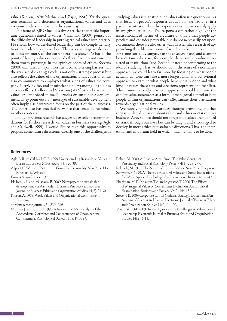value (Kidron, 1978; Mathieu and Zajac, 1990). Yet the question remains: who determines organizational values and does everyone understand them in the same way?

This issue of EJBO includes three articles that tackle important questions related to values. Viinamäki (2009) points out the difficulty of leadership in putting ethical values into practice He shows how values-based leadership can be complementary to other leadership approaches. This is a challenge we do need to focus on more, as the current era has shown. What is the point of having values or codes of ethics if we do not consider them worth pursuing? In the spirit of codes of ethics, Stevens (2009) examines a major investment bank. She emphasizes that the very act of creating a code is not only a strategic process but also reflects the values of the organization. Thus, codes of ethics also communicate to employees what kinds of values the company is striving for, and insufficient understanding of this has adverse effects. Hellöre and Vikström (2009) study how certain values are embedded in media articles on sustainable development. They point out how messages of sustainable development often imply a self-interested focus on the part of the businesses. The paper also has practical relevance that could be examined in other contexts.

Though previous research has suggested excellent recommendations for further research on values in business (see e.g. Agle and Caldwell, 1999), I would like to take this opportunity to propose some future directions. Clearly, one of the challenges in studying values is that studies of values often use questionnaires that focus on people's responses about how *they would act* in a particular situation, but the response does not necessarily apply in any given situation. The responses can rather highlight the institutionalized norms of a culture or things that people appreciate and consider preferable but do not necessarily act upon. Fortunately, there are also other ways in scientific research of approaching this dilemma, some of which can be mentioned here. First, one can study language use as *an action in itself* and examine how certain values are, for example, discursively produced, resisted or institutionalized. Second, instead of conforming to the idea of studying what we should do in the sense of a normative approach, we could learn far more by focusing on what people actually do. One can take a more longitudinal and behavioural approach to examine what people have actually done and what kind of values these acts and decisions represent and manifest. Third, more critically oriented approaches could examine the explicit value statements as a form of managerial control or how people within organizations can (il)legitimize their orientation towards organizational values.

We hope you find these articles thought-provoking and that they stimulate discussion about values and ethics in 21st century business. Above all we should not forget that values are not fixed or static through our lives but can be taught and encouraged to develop in more ethically sustainable directions. This is an interesting and important field in which much remains to be done.

#### **References**

- Agle, B. R., & Caldwell, C. B. 1999. Understanding Research on Values in Business. Business & Society,38(3), 326-387.
- Allport, G.W. 1961. Pattern and Growth in Personality. New York: Holt, Rinehart, & Winston.
- Enron's Annual report 1998.
- Hellöre, L-L. and Vikström, B. 2009. Newspapers on sustainable development – a Postmodern Business Perspective. Electronic Journal of Business Ethics and Organization Studies 14(2), 21-30.
- Kidron, A. 1978. Work Values and Organizational Commitment. Academy
- of Management Journal , 21, 239–246
- Mathieu, J. and Zajac, D. 1990. A Review and Meta-analysis of the Antecedents, Correlates and Consequences of Organizational Commitment. Psychological Bulletin, 108, 171-194.
- Rohan, M. 2000. A Rose by Any Name? The Value Construct. Personality and Social Psychology Review 4(3), 255- 277.
- Rokeach, M. 1973. The Nature of Human Values. New York: Free press.
- Schwartz, S. 1999. A Theory of Cultural Values and Some Implications for Work. Applied Psychology: An International Review 48, 23-47.
- Sharfman, M. P., Pinkston, T.S. and Sigerstad, T. 2000. The Effects of Managerial Values on Social Issues Evaluation: An Empirical Examination. Business and Society 39 (2) 144-182.
- Stevens, B. 2009.Corporate Ethical Codes as Strategic Documents: An Analysis of Success and Failure. Electronic Journal of Business Ethics and Organization Studies 14(2), 14–20.
- Viinamäki, O-P. 2009. Intra-Organizational Challenges of Values-Based Leadership. Electronic Journal of Business Ethics and Organization Studies 14(2), 6-13.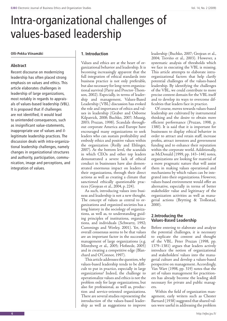# Intra-organizational challenges of values-based leadership

# **Olli-Pekka Viinamäki**

# **Abstract**

Recent discourse on modernizing leadership has often placed strong emphasis on values and ethics. This article elaborates challenges in leadership of large organizations, most notably in regards to appraisals of values-based leadership (VBL). It is proposed that if challenges are not identified, it would lead to unintended consequences, such as insignificant value-statements, inappropriate use of values and illegitimate leadership practices. The discussion deals with intra-organizational leadership challenges, namely changes in organizational structures and authority, participation, communication, image and perceptions, and integration of values.

#### **1. Introduction**

Values and ethics are at the heart of organizational behavior and leadership. It is becoming increasingly apparent that the full integration of ethical standards into business practice is not only preferable, but also necessary for long-term organizational survival (Parry and Proctor-Thomson, 2002). Especially, in terms of leadership and management, Values-Based Leadership (VBL) discussion has evoked the role and importance of ethics and values in leadership (Graber and Osborne Kilpatrick, 2008; Buchko, 2007; Mussig, 2003; Pruzan, 1998). Scandals throughout corporate America and Europe have encouraged many organizations to seek leaders who can sustain profitability and embody ethics and positive values within the organization (Reilly and Ehlinger, 2007). At the bottom level, the scandals in which CEOs and other top leaders demonstrated a severe lack of ethical conduct in businesses have also demonstrated enormous impact on leaders of their organizations, through their direct actions as well as creating a climate that sanctioned ethically questionable practices (Grojean et al., 2004, p. 224).

As such, introducing values into business and leadership is not a new thought. The concept of values as central to organizations and organized societies has a long history in the sociology of organizations, as well as, to understanding guiding principles of institutions, organizations, and individuals (Schwartz, 1992; Cummings and Worley, 2001). Yet, the overall consensus seems to be that values are an important factor in the successful management of large organizations (e.g. Mintzberg et al., 2005; Hofstede, 2005) and in creating a competitive edge (Blanchard and O'Connor, 1997).

This article addresses the question, why values-based leadership tends to be difficult to put in practice, especially in large organizations? Indeed, the challenge to operationalize values and ethics is not the problem only for large organizations, but also for professional, as well as, production and service-oriented organizations. There are several studies representing the introduction of the values-based leadership as well as suggestions to improve

leadership (Buchko, 2007; Grojean et al., 2004; Treviño et al., 2003). However, a systematic analysis of thresholds which we face in executing the VBL is missing. This article attempts to elaborate intraorganizational factors that help clarify potential challenges of the values-based leadership. By identifying the challenges of the VBL, we could contribute to more precise content domain for the VBL itself and to develop its ways to overcome difficulties that leaders face in practice.

Of course, moves towards values-based leadership are cultivated by instrumental thinking and the desire to obtain more efficient performance (Pruzan, 1998, p. 1380). It is said that it is important for businesses to display ethical behavior in order to attract and retain staff, increase profits, attract investors and government funding and to enhance their reputation within the corporate world. Additionally, as McDonald (1999, pp. 143–144) notes, organizations are looking for material of a more pragmatic nature that will assist them in making values operational and mechanisms by which values can be integrated into their organizations. However, values-based environment would offer an alternative, especially in terms of better stakeholder value and legitimacy of the organization activities as well as managerial actions (Brytting & Trollestad, 2000).

# **2.Introducing the Values-Based Leadership**

Before entering to elaborate and analyze the potential challenges, it is necessary to explicate the content and thought of the VBL. Peter Pruzan (1998, pp. 1379–1381) argues that leaders actively introduce the notion of organizational and stakeholders' values into the managerial culture and develop a values-based perspective on management. Accordingly, Van Wart (1998, pp. 319) notes that the art of values management for practitioners has already become the leading skill necessary for private and public managers.

Within the field of organization management, early writers such as Chester Barnard (1938) suggested that shared values were useful in addressing the problem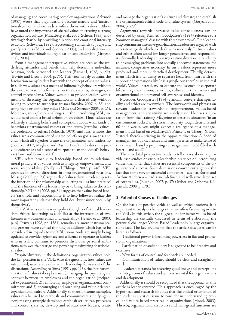of managing and coordinating complex organizations. Selznick (1957) wrote that organizations become mature and 'institutionalized' only when leaders infuse them with values. Others have noted the importance of shared values in creating a strong organization culture (Minztberg et al., 2005; Schein, 1985), motivating behavior by providing direction and emotional intensity to action (Schwartz, 1992), representing standards to judge and justify actions (Mills and Spencer, 2005), and socialization activities and individuals to organization and leadership (Grojean et al., 2004).

From a management perspective, values are seen as the underlying attitudes and beliefs that help determine individual behavior, both personnel and leaders (Barnard, 1938, p. 279; Treviño and Brown, 2004, p. 75). This view largely explains the fascination many leaders have with the concept of shared values. In such way, values are a means of influencing behaviors without the need to resort to formal structures, systems, strategies, or control mechanisms. Values would also provide leaders with a means of directing the organization in a desired way without having to resort to authoritarianism (Buchko, 2007, p. 38) and using tight or confusing rules (Mills and Spencer 2005, p. 26). Moreover, to explicate challenges in the introducing VBL, we would need quite a broad definition on values. Thus, values are relatively enduring beliefs and conceptions about what kinds of behaviors (instrumental values) or end-states (terminal values) are preferable to others (Rokeach, 1973), and furthermore, the values are a common set of shared beliefs on goals, means, and ends which all together create the organization and leadership (Buchko, 2007; Meglino and Ravlin, 1998) and values can provide coherence and a sense of purpose to an individual's behavior (Lord and Brown, 2001).

VBL refers broadly to leadership based on foundational moral principles or values such as integrity, empowerment, and social responsibility (Reilly and Ehlinger, 2007, p. 246). VBL operates in several directions in intra-organizational relations. Mussig (2003, pp. 73) argues that "values-driven leadership sets the function of the relationship as putting values into practice" and "the function of the leader may be to bring values to the relationship." O'Toole (2008, pp. 84) suggests that value-based leaders "task, role, and responsibility is to help followers realize the most important ends that they hold dear but cannot obtain by themselves".

The VBL in a certain way applies thoughts of ethical leadership. Ethical leadership as such lies at the intersection of two literatures – business ethics and leadership (Treviño et al., 2003, p. 6). Pruzan (1998, pp. 1381) remarks are more instrumental and present more cynical thinking in addition which has to be considered in regards to the VBL: some tools are simply being updated to provide legitimacy and a license to operate to leaders who in reality continue to promote their own personal ambitions as to wealth, prestige and power by maximizing shareholder value.

Despite diversity in the definitions, organization values hold the key position in the VBL. Also the questions, how values are introduced, used and evaluated in leadership form most of the discussions. According to Sims (1991, pp. 495), the institutionalization of values takes place in: 1) managing the psychological contract between its employees and the organization (reciprocal expectations), 2) reinforcing employees' organizational commitment, and 3) encouraging and nurturing and value-oriented organizational culture. Additionally, to mention some examples, values can be used to establish and communicate a unifying vision; making strategic decisions; establish structures, processes and control systems; develop and educate new leaders; create

and manage the organization's culture and climate; and establish the organization's ethical code and value system (Gorjean et al., 2004, p. 233).

Arguments towards increased value-consciousness can be described by using Kenneth Goodpaster's (1994) reference to a 'common managerial disease with three symptoms'. First, leadership contains an intensive goal-fixation. Leaders are engaged with short-term goals which are dealt with recklessly. In turn, values and ethics often stand for longer perspectives and responsibility. Secondly, leadership emphasizes rationalization i.e. tendency to fit emerging problems into socially approved statements, for instance, competitive necessity. In turn, values represent more profound and morally detached development. Thirdly, detachment which is a tendency to separate head from heart with the support of expressions like 'it is a jungle out there' or 'in the real world'. Values, instead, try to capture the essence of corporate life, strategy and vision, as well as, culture nurtured issues and organizational and personal self-awareness and identity.

Moreover, Goodpaster (1994) critically conveys that spirituality and ethics are everywhere. The buzzwords and phrases on servant leadership, stewardship, empowerment, values-based management, and sensitivity are widely used. He uses a quotation from the Training Magazine to describe situation: "in an environment racked with stress, insecurity, tough decisions and 60-hour weeks, you might expect a resurgence of a management model based on Machiavelli's Prince… or Theory-X icon. Instead, there's a stirring in the opposite direction: A flood of management books, articles and musings tries to make sense of the current chaos by proposing a management model filled with heart – and soul."

The anecdotal perspective tends to tell stories about or provide case studies of various leadership practices on introducing values, then infer that values are essential components of the organizations' success. Such discussions conveniently ignore the fact that some very unsuccessful companies – such as Enron and Arthur Andersen – had a well-defined and well-articulated set of core values. (Buchko, 2007, p. 37; Graber and Osborne Kilpatrick, 2008, p. 179.)

### **3. Potential Causes of Challenges**

On the basis of positive yields as well as critical notions, it is important to analyze challenges that we often face in regards to the VBL. In this article, the suggestions for better values-based leadership are critically discussed in terms of elaborating the potential challenges Values-Based Leadership in large organizations face. The key arguments that the article discusses can be listed as follows:

- Traditional power is becoming powerless in flat and professional organizations

- Participation of stakeholders is suggested to be intensive and extensive

- New forms of control and feedback are needed

- Communication of values should be clear and straightforward

- Leadership stands for fostering good image and perceptions

- Integration of values and actions are vital for organizations and development

Additionally, it should be recognized that the approach in this article is leader-centered. This approach is encouraged by the hypothesis and research findings that the ethical orientation of the leader is a critical issue to consider in understanding ethical and values-based practices in organizations (Hood, 2003). Thereby, organizational structures and managerial functions are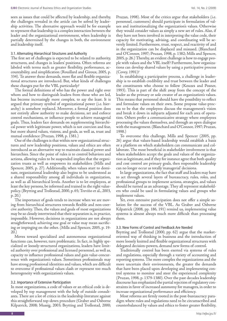seen as issues that could be affected by leadership, and thereby, the challenges revealed in the article can be solved by leadership activities. The alternative approach would be for example to represent that leadership is a complex interaction between the leader and the organizational environment, when leadership is partially determined by the changes in both, the environment and leadership itself.

#### 3.1. Alternating Hierarchical Structures and Authority

The first set of challenges is expected to be related to authority, structures, and changes in leaders' positions. Often reforms are labeled with terms such as greater flexibility, performance, accountability, and simplification (Rouillard and Giroux, 2005, p. 334). To answer these demands, more flat and flexible organizational structures are introduced. But, what kinds of challenges these changes put for the VBL particularly?

The formal definitions of who has the power and right over whom and how to distinguish leaders from those who are led, has become increasingly more complex, to say the least. It is argued that primary symbol of organizational power (i.e. hierarchy) is somehow replaced. Moreover, a formal position does not entirely allow authority to make decisions, set and enforce control mechanisms, or influence people to achieve managerial goals. Thus, leaders face demands on supplementing hierarchical power with legitimate power, which is not coercion and fear, but more shared values, visions, and goals, as well as, trust and mutual confidence (Pruzan, 1998, p. 1381.)

One of the challenges is that within new organizational structures and new leadership positions, values and ethics are often introduced as an alternative way to maintain classical power and hierarchies. Since the point of rules is to control behaviors and actions, allowing rules to be suspended implies that the organization trusts as well as empowers its stakeholders (Mills and Spencer, 2005, p. 27). Additionally, when values start to dominate, organizational leadership also begins to be understood as a shared responsibility among all individuals in organization, as well as all hierarchical levels. Another is to let employees, at least the key persons, be informed and trained in the right valuepolicy. (Brytting and Trollestad, 2000, p. 65; Treviño et al., 2003, p. 20.)

The importance of goals tends to increase when we are moving from hierarchical structures towards flexible and non-coercive authority. Then, the values and goals of most organizations may be so closely intertwined that their separation is, in practice, impossible. However, decisions in organizations are not always straightforward; achieving one goal or value may mean sacrificing or impinging on the other. (Mills and Spencer, 2005, p. 19- 20.)

Moves toward specialized and autonomous organizational functions can, however, turn problematic. In fact, in highly specialized or loosely-structured organizations, leaders have limited authority over professional and licensed personnel, as well as, capacity to influence professional values and gain value-concurrence with organization's values. Sometimes professionals may have strong professional identities and values, which are difficult to overcome if professional values clash or represent too much heterogeneity with organization's values.

#### 3.2. Importance of Extensive Participation

In most organizations, a code of values or an ethical code is developed by top management with the help of outside consultants. There are a lot of critics in the leadership literature against this straightforward top-down procedure (Graber and Osborne Kilpatrick, 2008; Mussig, 2003; Brytting and Trollestad, 2000;

Pruzan, 1998). Most of the critics argue that stakeholders (i.e. personnel, customers) should participate in formulation of values and institutionalizing the organization's values. Otherwise they would consider values as simply a new set of rules. Also, if they have not been involved in interpreting the value code, their capacity for motivating, advising, and coordinating will be severely limited. Furthermore, trust, respect, and reactivity of and in the organization can be displaced and misused. (Blanchard and O'Connor, 1997; Pruzan, 1998, p. 1382; Mills and Spencer, 2005, p. 26.) Thereby, an evident challenge is how to engage people with values and the VBL itself? Furthermore, how organizations can develop shared values by using a participative process (Covey, 1991)?

In establishing a participative process, a challenge in leadership is to establish credibility and trust between the leader and the constituents who choose to follow (Kouzes and Posner, 1993). This is part of the shift away from the concept of the leader as the primary or sole creator of an organization's values. This means that personnel should have the possibility to reflect and formulate values on their own. Some propose value-process to be that the employees discuss the management's vision and break it down in subparts adjusted for each area of operation. Others prefer a communicative strategy where employees processing the values themselves, and through an open dialogue with the management. (Blanchard and O'Connor, 1997; Pruzan, 1998.)

To overcome this challenge, Mills and Spencer (2005, pp. 26) argue that values-based leadership would establish a basis or a platform on which stakeholders can communicate and collaborate. The most beneficial in stakeholder involvement is that when stakeholders accept the goals and values of the organization as legitimate, and if they for instance agree that both quality and cost control are primary goals, then responsible leadership can no longer occur as totally 'managerial' decisions.

In large organizations, the fact that staff and leaders may have to act through several layers of bureaucracy, rules, roles, and professional groups to implement actions, strategies, and values should be turned as an advantage. They all represent stakeholders who could be used in formulating values and groups who implement values.

Yet, even extensive participation does not offer a simple solution for the success of the VBL. As Graber and Osborne Kilpatrick (2008, pp. 186, 191) remind us, implementing value systems is almost always much more difficult than processing them.

#### 3.3. New Forms of Control and Feedback Are Needed

Brytting and Trollestad (2000, pp. 62) argue that the marketoriented way of thinking in business and the introduction of more loosely knitted and flexible organizational structures with delegated decision-powers, demand new forms of control.

Traditionally control has been exerted via systems of rules and regulations, especially through a variety of accounting and reporting systems. The more complex the organizations and the more uncertain their environments, the greater the demands that have been placed upon developing and implementing control systems to monitor and steer the experienced complexity (Pruzan, 1998, p. 1379-1380). Over the past decades leadership discourse has emphasized the partial rejection of regulatory constraints in favor of increased autonomy for managers, in order to increase organizational performance and efficiency.

Most reforms are firmly rooted in the post-bureaucracy paradigm where rules and regulations need to be circumscribed and counterbalanced by values and ethics to foster greater flexibility,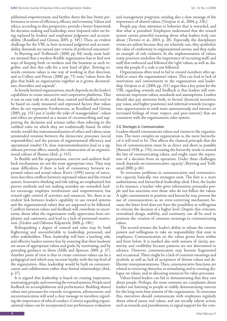additional empowerment, and further down the line, better performance in terms of efficiency, efficacy and economy. Values and ethics, according to this perspective, provide a better framework for decision-making and leadership, since 'imposed rules' are being replaced by leaders' and employees' judgment and accountability. (Rouillard and Giroux, 2005, p. 345.) Then, an evident challenge for the VBL is, how increased judgment and accountability demands are turned into criteria of preferred outcomes?

In Brytting and Trollestad's (2000, pp. 64) study, most leaders stressed that a modern flexible organization has to find new ways of keeping both co-workers and the business as such together, and that this calls for a new kind of 'glue'. Striving towards common values is one way of working in that direction, and as Collins and Porras (2000, pp. 73) note, "values form the glue that holds an organization together as it grows, decentralizes, diversifies and expands".

In loosely knitted organizations, much depends on the leader's capabilities to create interactive and cooperative platforms. This is not an easy task to do, and thus, control and feedback tend to be based on easily measured and expressed factors that values often do not represent. Furthermore, as Rouillard and Giroux (2005, pp. 331) put it "under the yoke of managerialism", values and ethics are presented as a means of circumscribing and supporting the decisions and actions rather than referring to the codified rules on which they are traditionally based. In other words, would this instrumentalization of ethics and values cause unintended tensions between the democratic processes (social responsibility) and the pursuit of organizational efficiency and operational results? Or, does instrumentalization lead to a significant perverse effect, namely, the construction of an organizational culture of illusion (ibid., p. 333).

In flexible and flat organizations, coercive and uniform feedback mechanisms are not the most appropriate ones. They may cause difficulties, if there is lack of consistency between expressed values and actual values. Kerr's (1995) survey of executives describes conflicts between expressed values and the reward system. Innovative thinking and risk-taking are emphasized, but proven methods and not making mistakes are rewarded; leaders encourage employee involvement and empowerment, but reward tight control of activities and resources. Yet, there is an evident link between leader's capability to use reward systems and the organizational values that are supposed to be followed. Conflicts between values and feedback will contribute to uncertainty about what the organization really appreciates from employees and customers, and lead to a lack of personnel motivation. (Graber and Osborne Kilpatrick, 2008, p. 190.)

Relinquishing a degree of control and rules may be both frightening and uncomfortable to leadership, personnel, and other stakeholders. Then, leadership will have a 'teaching' role, and effective leaders remove fear by ensuring that their 'students' are aware of appropriate values and goals, by motivating, and by providing guidance to them (Mills and Spencer, 2005, p. 27). Another point of view is that to create common values can be a pedagogical tool which may increase loyalty with the top level of the organization. Also, leadership would be built on communication and collaboration rather than formal relationships (ibid., p. 27).

It is argued that leadership is based on creating inspiration, motivating people, and renewing the reward systems. People need feedback on accomplishment and performance. Building shared values into processes for rewards, recognition, advancement, and excommunication will send a clear message to members regarding the importance of ethical conduct. Criteria regarding organizational values can be incorporated into performance evaluation

and management programs, sending also a clear message of the importance of shared values. (Grojean et al., 2004, p. 230.)

People pay close attention to behavior that is rewarded, and that what is punished. Employees understand that the reward system carries powerful meaning about what leaders truly care about (Treviño et al., 2003, p. 28). Especially, the disciplinary events are salient because they are relatively rare, they symbolize the value of conformity to organizational norms, and they make an example of rule violators. In the implementation of values, many practices underline the importance of recruiting staff, and staff that embraced and followed the 'right' values, as well as, dismiss the people if a code is not followed.

Organizations often tend to fail to reward members who uphold or enact the organizations' values. This can lead to lack of motivation and commitment to the organization and leadership. Grojean et al. (2004, pp. 231) argue that a key point for the VBL regarding rewards and feedback is that leaders will communicate important values, standards and assumptions. Leaders should also pay attention both, to formal (financial incentives, pay raises, and higher positions) and informal rewards (recognition, opportunities to work more autonomously and interact, or increased feelings of trust, respect, and peer-interest) that are consistent with the organization's value system.

#### 3.4. Shortages in Communication

Leaders should communicate values and visions to the organization. The more complex an organization is, the more hierarchical it will tend to be. This affects the classical principle that the line of communication must be as direct and short as possible (Barnard 1938, p. 176); increasing the hierarchy tends to extend the line of communicating values, and might cause the separation of a decision from an operation. Under these challenges, much depends on 'communicative capacity' (Brytting and Trollestad 2000, p. 66).

To overcome problems in communication and communicative capacity, basically, two strategies exist. The first is a more authoritarian and hierarchical leadership ideal. Here, the leader is for instance, a 'teacher' who gives information, persuades people and has sanctions over those who do not follow the values. A tight commitment to position and hierarchy may prevent the use of communication as an error-correcting mechanism because the lower level does not have the possibility or willingness to criticize the decision of a higher level. Despite this criticism, centralized design, stability, and continuity can all be used to promote the creation of common meanings in communicating values.

The second stresses the leader's ability to release the creative powers and willingness to take on responsibility that exist in employees. Communication on the values grows from within and from below. It is marked also with notions of clarity, sensitivity, and credibility because patterns are not determined in advance. However, communication may become fragmented and occasional. There might be a lack of common meanings and symbols, as well as, lack of acceptance of diverse values and deliberate misrepresentations. Then, communicative functions are related to removing obstacles, to stimulating and to creating dialogue on values, and to allocating resources for value-processes.

Values-based leaders can fail in demonstrating that they care about people. Perhaps, the most common are complaints about leaders not listening to people or visibly demonstrating concern for the long-term best interest of the organization. To overcome this, executives should communicate with employees regularly about ethical issues and values, and use socially salient action, such as rewards and punishments, to signal support for the com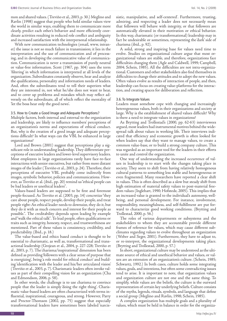mon and shared values. (Treviño et al., 2003, p. 30.) Meglino and Ravlin (1998) suggest that people who hold similar values view the world in similar ways, enabling them to communicate more clearly, predict each other's behavior and more efficiently coordinate activities resulting in reduced role conflict and ambiguity and increased satisfaction with the interpersonal relationship.

With new communication technologies (email, www, intranet) the issue is not so much failure in transmission; it lies in the interpretation and the use of communication and of processing, and in developing the communicative value of communication. Communication is never a transmission of purely neutral or value-free information. Scott (1967, pp. 304) uses the term 'filtering' in which information is interpreted at all levels of the organization. Subordinates constantly observe, hear and analyze the qualifications, personality and information needs of leaders. And, often the subordinates tend to tell their superiors what they are interested in, not what he/she does not want to hear, and to cover up problems and mistakes which may reflect adversely on the subordinate, all of which reflect the mentality of 'let the boss hear only the good news'.

#### 3.5. How to Create a Good Image and Adequate Perceptions?

Multiple factors, both internal and external to the organization and leadership, are likely to influence members' perceptions of an organization's norms and expectations of ethical conduct. But, why is the creation of a good image and adequate perceptions difficult? In what ways can the VBL be enhanced in large organizations?

Lord and Brown (2001) suggest that perceptions play a significant role in understanding leadership. They differentiate perceptions of executive leaders and lower-level supervisory leaders. Most employees in large organizations rarely have face-to-face interactions with senior executives, but rather from more distant images of the leader (Treviño et al., 2003, p. 24). Therefore, their perceptions of executive VBL probably come indirectly from images, symbolic behavior, policies and communications. However, as Treviño et al. (ibid., pp. 20) remind us "ethical people can be bad leaders or unethical leaders".

Values-based leaders are supposed to be first and foremost people-focused. As Treviño et al. (2003, pp. 14) concretize "they care about people, respect people, develop their people, and treat people right: An ethical leader needs to downsize, they do it, but they do it with as much concern and interest for their people as possible.". The creditability depends upon leading by example and "walk the ethical talk". To lead people, often qualifications or traits such as integrity, honesty, respect, and trustworthiness are mentioned. Part of these values is consistency, credibility, and predictability. (Ibid., p. 18.)

The value-based and ethics based conduct is thought to be essential to charismatic, as well as, transformational and transactional leadership (Grojean et al., 2004, p. 227-228; Treviño et al., 2003, p. 7). The 'charisma/inspirational' dimension has been defined as providing 'followers with a clear sense of purpose that is energizing', being 'a role model for ethical conduct' and building 'identification with the leader and his/her articulated vision' (Treviño et al., 2003, p. 7). Charismatic leaders often invoke values as part of their compelling vision for an organization (Cha and Edmondson, 2006, p. 58).

In other words, the challenge is to use charisma to convince people that the leader is simply 'doing the right thing'. Charismatic value-based leaders are often characterized with terms influential, inspirational, courageous, and strong. However, Parry and Proctor-Thomson (2002, pp. 75) suggest that especially transformational leaders have sometimes been labeled 'narcissistic, manipulative, and self-centered'. Furthermore, trusting, admiring, and respecting a leader does not necessarily mean that followers will behave with integrity, or that followers are automatically elevated in their motivation or ethical behavior. In this way, charismatic (or transformational) leadership may in fact be undesirable or sometimes, representing the 'dark' side of charisma (ibid., p. 92).

A solid, strong and inspiring base for values need time to evolve. Studies on organizational culture argue that most organizational values are stable, and therefore, organizations face difficulties changing them (Agle and Caldwell, 1999; Campbell, 2004; Schein, 1985). All the difficulties are not intra-organizational. Customers and other stakeholders also find themselves in difficulties to change their attitudes and to adopt the new values. Often values evolve as results of interaction of people, and then, leadership can focus on creating value-platforms for the interaction, and creating spaces for deliberation and reflection.

#### 3.6. To Integrate Values

Leaders must somehow cope with changing and increasingly heterogeneous values, both in their organizations and society at large. Why is the establishment of shared values difficult? Why is there a need to integrate values in organizations?

As Brytting and Trollestad's (2000, pp. 62-63) interviewees argued, most leaders had instrumental motives behind the widespread talk about values in working life. Their interviews indicated that efficiency and economic growth is often looked for when leaders say that they want to manage values, to create a common value-base, or to build a strong company culture. This was regarded as an important tool for the leaders in their efforts to unite and control the organization.

One way of understanding the increased occurrence of values in leadership is to start with the changes taking place in society. They seem to shift from having relatively homogenous cultural patterns to something less stable and heterogeneous or even fragmented. Many researchers have reported a clear shift in values. This is often described as a slow but steady shift from high estimation of material safety values to post-material freedom values (Inglehart, 1990; Hofstede, 2005). This implies that an increased value is granted to the individual's autonomy, wellbeing, and personal development. For instance, involvement, responsibility, meaningfulness, and self-fulfillment are put forward to characterize good working conditions. (Brytting and Trollestad, 2000, p. 56.)

The roles of various departments or subsystems and the stakeholders to whom they are accountable provide different frames of reference for values, which may cause different subclimates regarding values to evolve throughout an organization (Weber and Seger, 2001). Furthermore, they have to adjust to, or re-interpret, the organizational developments taking place. (Brytting and Trollestad, 2000, p. 57.)

In short, organizational culture may be understood as the ultimate source of ethical and unethical behavior and values, or values are an extension of an organization's culture. (Schein, 1985; Schwartz, 1992.) In both cases, culture holds some integrating values, goals, and intentions, but often some contradicting issues tend to arise. It is important to note, that organization values and organization culture are not one and the same thing. To simplify, while values are the beliefs, the culture is the outward representation of certain key underlying beliefs. Culture consists of the myths, legends, rituals, symbols, and language that define a social group (Meglino and Ravlin, 1998; Schein, 1985).

A complex organization has multiple goals and a plurality of values, which must be held in balance in order for the organiza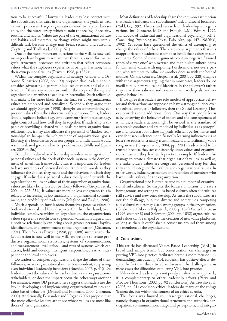tion to be successful. However, a leader may lose contact with the subcultures that exist in the organization, the goals, as well as with processes. Large organizations tend to rely on hierarchies and the bureaucracy, which sustain the feeling of security, routine, and habits. Values are part of the organizational culture and habits, and therefore, to change values might turn into a difficult task because change may break security and customs. (Brytting and Trollestad, 2000, p. 67.)

One of the most important questions to the VBL is how well managers have begun to realize that there is a need for managerial structures, processes and attitudes that reflect corporate values what the employees experience as being in harmony with their own personal values (Pruzan, 1998, p. 1387)?

Within the complex organizational settings, Graber and Osborne Kilpatrick (2008, pp. 190) propose that leaders should consider advocating a parsimonious set of values and also determine if these key values are within the scope of the typical organizational member to achieve or internalize. Such reflection will make it far more likely that the final set of organizational values are embraced and actualized. Secondly, they argue that we should apply Senge's (1990) thought on differentiating expressed values from the values we really act upon. Thus, leaders should explicate beliefs (e.g. empowerment) from practices (e.g. tight control) and how well they fit together. If leadership is capable of providing a shared value-basis for intra-organizational relationships, it may also alleviate the potential of 'shadow relationships' to hamper the achievement of organizational goals. Blurring the boundaries between groups and individuals would result in shared goals and better performance. (Mills and Spencer, 2005, p. 26.)

Ethical and values-based leadership involves an integration of personal values and the needs of the social system in the development of an ethical framework. Thus, it is important for leaders to have awareness of personal values, ethics and morals as they influence the choices they make and the behaviors in which they engage. If individuals' personal values totally conflict with the organization's values or values of their supervisor, organizational values are likely be ignored or be slowly followed (Grojean et al., 2004, p. 226, 231.) If values are more or less congruent, this is related to increasing in job satisfaction, organizational commitment, and credibility of leadership (Meglino and Ravlin, 1998).

Much depends on how leaders themselves perceive values in both its rhetorical and factual aspects. On the other hand, to an individual employee within an organization, the organization's values represent a touchstone to personal values. It is argued that a positive relationship can bring about greater personal loyalty, identification, and commitment to the organization (Chatman, 1991). Therefore, as Pruzan (1998, pp. 1388) summarizes, the key question is how well in the VBL are we able to create productive organizational structures, systems of communication, and measurement- evaluation – and reward systems which can attract, hold and develop intelligent, responsible, creative, independent and loyal employees?

Do leaders of complex organizations shape the values of their followers, or are organizational values transcendent, surpassing even individual leadership behaviors (Buchko, 2007, p. 41)? Do leaders impact the values of their subordinates and organization's stakeholders, or does the impact occur the other ways around? For instance, some OD practitioners suggest that leaders are the key in developing and implementing organizational values and value-based behaviors (Driscoll and Hoffman, 2000; Coleman, 2000). Additionally, Fernandez and Hogan (2002) propose that the most effective leaders are those whose values are most like those of the organization.

(Yukl, G., 1992. Theory and research on leadership in organizations. In: Dunnette, M.D. and Hough, L.M., Editors, 1992. Handbook of industrial and organizational psychology vol. 3, Consulting Psychologists Press, Palo Alto, pp. 147–198.Yukl, 1992). Yet some have questioned the ethics of attempting to change the values of others. There are some arguments that it is inappropriate for leaders to attempt to instill their values in subordinates. Some of these arguments contain negative flavored tones of 'clever ones' who oversee and manipulate subordinates' fundamental values with impunity. Furthermore, not every person who attempts to influence another does so with the best of motives. On the contrary, Grojean et al. (2004, pp. 228) disagree with these arguments, arguing that in most cases, leaders do not instill totally new values and identities in the followers'; rather, they raise their salience and connect them with goals, and required behaviors.

Most definitions of leadership share the common assumption that leaders influence the subordinates' task and social behaviors

If we agree that leaders are role models of appropriate behavior and their actions are supposed to have a strong influence over the ethical conduct of followers, then the Social Learning Theory provides some additional clues. One way that people learn is by observing the behavior of others and the consequences of it. Thus, a leader's action might be viewed as the standard of acceptable conduct and are modeled by individuals as appropriate and necessary for achieving goals, efficient performance, and even for career advancement. Basically learning influences via at least two routes: increasing trust in leaders, and facilitating value congruence. (Grojean et al., 2004, pp. 228.) Leaders tend to be trusted because they act consistently upon values and organization's mission; they lead with practical example. If leaders also manage to create a climate that organization's values, as well as, the stakeholders' values are congruent, personnel may feel that they should integrate their values with organizational values. In other words, inducing attraction and retention of members who have similar values, 'fit' the organization.

Organizational size is often related to a number of organizational subcultures. So despite the leaders' ambition to create a homogenous and strong values-based culture, often subcultures still survive and new ones develop. As such the subcultures are not the challenge, but, the diverse and sometimes competing sub-cultural values may clash among groups in the organization. (Graber and Osborne Kilpatrick, 2008, p. 189.) Yet, as Hartman (1996, chapter 8) and Solomon (2004, pp. 1032) argue, cultures and values can be shaped by the creation of new value platforms, as long as there is established a consensus around them among the members of the organization.

### **4. Conclusions**

This article has discussed Values-Based Leadership (VBL) in broad and simple terms, but concentration on challenges in putting VBL into practice facilitates better, a more focused understanding. Introducing VBL evidently has positive effects, despite the fact that this article has discussed the challenges i.e. in most cases the difficulties of putting VBL into practice.

Values-based leadership is not purely an alternative approach; it is complementary to other leadership efforts (Parry and Proctor-Thomson's (2002, pp. 92 conclusions). As Treviño et al. (2003, pp. 21) conclude, ethical leaders do many of the things 'leaders' do, but within the context of an ethics agenda.

The focus was limited to intra-organizational challenges, namely changes in organizational structures and authority, participation, communication, image and perceptions, and integra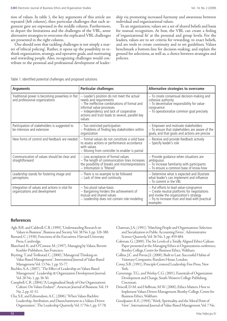tion of values. In table 1, the key arguments of this article are repeated (left column), then particular challenges that each argument gave are expressed in the middle column. Furthermore, to depart the limitations and the challenges of the VBL, some alternative strategies to overcome the explicated VBL challenges are presented in the right column.

One should note that tackling challenges is not simply a matter of 'ethical policing'. Rather, it opens up the possibility to rethink organization, strategy, and operative goals, and motivating and rewarding people. Also, recognizing challenges would contribute to the personal and professional development of leader-

ship via promoting increased harmony and awareness between individual and organizational values.

To an organization, values are a set of shared beliefs and basis for mutual recognition. At best, the VBL can create a feeling of 'organizational fit' at the personal and group levels. For the leaders, values are to set criteria for rewarding, to enact beliefs, and are tools to create continuity and to set guidelines. Values benchmark a bottom-line for decision-making, and explain the ground for selections, as well as, a choice between strategies and policies.

| Table 1. Identified potential challenges and proposed solutions |
|-----------------------------------------------------------------|
|                                                                 |

| <b>Arguments</b>                                                                  | <b>Particular challenges</b>                                                                                                                                                                                                                             | Alternative strategies to overcome                                                                                                                                                             |
|-----------------------------------------------------------------------------------|----------------------------------------------------------------------------------------------------------------------------------------------------------------------------------------------------------------------------------------------------------|------------------------------------------------------------------------------------------------------------------------------------------------------------------------------------------------|
| Traditional power is becoming powerless in flat<br>and professional organizations | - Leader's position do not meet the actual<br>needs and requirements<br>- The ineffective combinations of formal and<br>informal value-processes<br>- Independency and lack of cooperative<br>actions and trust leads to several, parallel key<br>values | - To create consensual decision-making and<br>cohesive authority<br>- To decentralize responsibility for value-<br>congruence<br>- To operationalize common goal precisely                     |
| Participation of stakeholders is suggested to<br>be intensive and extensive       | - Too restricted participation<br>- Problems of finding key stakeholders within<br>organization                                                                                                                                                          | - Empower and motivate stakeholders<br>- To ensure that stakeholders are aware of the<br>goals, and that goals and actions are precise                                                         |
| New forms of control and feedback are needed                                      | - Formal values do not constitute a solid base<br>to assess actions or performance accordance<br>with values<br>- Moving from controller to enabler is partial                                                                                           | - Receive and provide feedback actively<br>- Specify leader's role                                                                                                                             |
| Communication of values should be clear and<br>straightforward                    | - Low acceptance of formal values<br>- The length of communication lines increases<br>the possibility of breaks and misinterpretations<br>- Information is 'filtered'                                                                                    | - Provide guidance when situations are<br>ambiguous<br>- To increase familiarity with participants<br>- To ensure a common base of know-how                                                    |
| Leadership stands for fostering image and<br>perceptions                          | - There is no example to be followed<br>- Lack of time and continuity                                                                                                                                                                                    | - Determine what is expected and illustrate<br>what leader's can implement and influence<br>- To commit in the VBL                                                                             |
| Integration of values and actions is vital for<br>organizations and development   | - Too plural value-basis<br>- Bargaining hinders the achievement of<br>mutual and shared values<br>- Leadership does not contain role-modeling                                                                                                           | - Put efforts to lead value-congruence<br>- Create neutral platforms for negotiations<br>and invoke the organization's strategy<br>- Try to increase trust and lead with practical<br>examples |

# **References**

- Agle, B.R. and Caldwell, C.B. (1999), "Understanding Research on Values in Business", Business and Society, Vol. 38 No 3, pp. 326-388.
- Barnard, C. (1938), Functions of the Executives, Harvard University Press, Cambridge.
- Blanchard, K. and O'Connor, M. (1997), Managing by Values, Berrett-Koehler Publishers, San Francisco.
- Brytting, T. and Trollestad, C. (2000), "Managerial Thinking on Value-Based Management", International Journal of Value-Based Management Vol. 13 No. 1, pp. 55-77.
- Buchko, A.A. (2007), "The Effect of Leadership on Values-Based Management", Leadership & Organization Development Journal, Vol. 28 No. 1, pp. 36-50.
- Campbell, C.R. (2004), "A Longitudinal Study of One Organization's Culture: Do Values Endure?", American Journal of Business, Vol. 19 No. 2, pp. 41-51.
- Cha, S.E. and Edmondson, A.C. (2006), "When Values Backfire: Leadership, Attribution, and Disenchantment in a Values-Driven Organization", The Leadership Quarterly, Vol. 17 No.1, pp. 57-78.
- Chatman, J.A. (1991), "Matching People and Organizations: Selection and Socialization in Public Accounting Firms", Administrative Science Quarterly, Vol. 36 No. 3, pp. 459-484.
- Coleman, G. (2000), The Six Levels of a Totally Aligned Ethics Culture. Paper presented at the Managing Ethics in Organizations conference, Bentley College, Centre for Business Ethics, Waltham.
- Collins, J.C. and Porras J.I. (2000), Built to Last. Successful Habits of Visionary Companies, Random House, London.
- Covey, S.R. (1991), Principle-Centered Leadership, Free Press, New York.
- Cummings, T.G., and Worley, C.G. (2001), Essentials of Organization Development and Change, South-Western College Publishing, Cincinnati.
- Driscoll, D-M. and Hoffman, M.W. (2000), Ethics Matters. How to Implement Values-Driven Management, Bentley College, Centre for Business Ethics, Waltham.
- Goodpaster, K.E. (1994), "Work, Spirituality, and the Moral Point of View", International Journal of Value-Based Management, Vol. 7 No.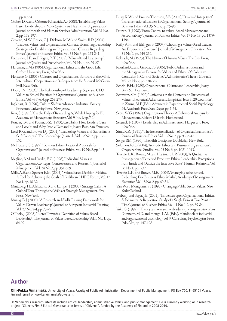1, pp. 49-64.

- Graber, D.R. and Osborne Kilpatrick, A. (2008), "Establishing Values-Based Leadership and Value Systems in Healthcare Organizations", Journal of Health and Human Services Administration, Vol. 31 No. 2, pp. 179-197.
- Grojean, M.W., Resick, C.J., Dickson, M.W. and Smith, B.D. (2004), "Leaders, Values, and Organizational Climate. Examining Leadership Strategies for Establishing an Organizational Climate Regarding Ethics", Journal of Business Ethics, Vol. 55 No. 3, pp. 223-241.
- Fernandez, J. E. and Hogan, R. T. (2002), "Values-Based Leadership", Journal of Quality and Participation, Vol. 25 No. 4, pp. 25-27.
- Hartman, E.M. (1996), Organizational Ethics and the Good Life, Oxford University Press, New York.
- Hofstede, G. (2005), Cultures and Organizations, Software of the Mind. Intercultural Cooperation and Its Importance for Survival, McGraw-Hill, New York.
- Hood, J.N. (2003), "The Relationship of Leadership Style and CEO Values to Ethical Practices in Organizations", Journal of Business Ethics, Vol. 43 No. 4, pp. 263-273.
- Inglehart, R. (1990), Culture Shift in Advanced Industrial Society, Princeton University Press, New Jersey.
- Kerr, S. (1995), "On the Folly of Rewarding A, While Hoping for B", Academy of Management Executive, Vol. 9 No. 1, pp. 7-14.
- Kouzes, J.M. and Posner, B.Z. (1993), Credibility. How Leaders Gain and Lose It, and Why People Demand It, Jossey-Bass, San Francisco.
- Lord, R.G. and Brown, D.J. (2001), "Leadership, Values, and Subordinate Self-Concepts", The Leadership Quarterly, Vol. 12 No. 2, pp. 133- 152.
- McDonald, G. (1999), "Business Ethics. Practical Proposals for Organizations'", Journal of Business Ethics, Vol. 19 No.2, pp. 143- 158.
- Meglino, B.M and Ravlin, E.C. (1998), "Individual Values in Organizations. Concepts, Controversies, and Research", Journal of Management Vol. 24 No. 3, pp. 351-389.
- Mills, A.E. and Spencer E.M. (2005), "Values Based Decision-Making. A Tool for Achieving the Goals of Healthcare", HEC Forum, Vol. 17 No.1, pp. 18-32.
- Mintzberg, H., Ahlstrand, B. and Lampel, J. (2005), Strategy Safari. A Guided Tour Through the Wilds of Strategic Management, Free Press, New York.
- Mussig, D.J. (2003), "A Research and Skills Training Framework for Values-Driven Leadership", Journal of European Industrial Training, Vol. 27 No. 2-4, pp. 73-79.
- O'Toole, J. (2008), "Notes Towards a Definition of Values-Based Leadership", The Journal of Values-Based Leadership Vol. 1 No. 1, pp. 84-92.
- Parry, K.W. and Proctor-Thomson, S.B. (2002), "Perceived Integrity of Transformational Leaders in Organizational Settings", Journal of Business Ethics Vol. 35 No. 2, pp. 75-96.
- Pruzan, P. (1998), "From Control to Values-Based Management and Accountability", Journal of Business Ethics, Vol. 17 No. 13, pp. 1379- 1394.
- Reilly, A.H. and Ehlinger, S. (2007), "Choosing a Values-Based Leader. An Experiential Exercise", Journal of Management Education, Vol. 31 No. 2, pp. 245-262.
- Rokeach, M. (1973), The Nature of Human Values, The Free Press, New York.
- Rouillard, C. and Giroux, D. (2005), "Public Administration and the Managerialist Fervour for Values and Ethics. Of Collective Confusion in Control Societies", Administrative Theory & Praxis, Vol. 27 No. 2, pp. 330-357.
- Schein, E.H. (1985), Organizational Culture and Leadership, Jossey-Bass, San Francisco.
- Schwartz, S.H. (1992), "Universals in the Content and Structures of Values. Theoretical Advances and Empirical Tests in 20 Countries", in Zanna, M.P. (Eds), Advances in Experimental Social Psychology 25, Academic Press, San Diego, pp. 1-65.
- Scott, W.G. (1967), Organization Theory. A Behavioral Analysis for Management, Richard D. Irwin, Homewood.
- Selznick, P. (1957), Leadership in Administration, Harper and Row, New York.
- Sims, R.R. (1991), "The Institutionalization of Organizational Ethics", Journal of Business Ethics, Vol. 13 No. 7, pp. 939-947.
- Senge, P.M. (1990), The Fifth Discipline, Doubleday, New York.
- Solomon, R.C. (2004), "Aristotle, Ethics and Business Organizations", Organizational Studies, Vol. 25 No. 6, pp. 1021-1043.
- Treviño, L.K., Brown, M. and Hartman, L.P. (2003), "A Qualitative Investigation of Perceived Executive Ethical Leadership. Perceptions from Inside and Outside the Executive Suite", Human Relations, Vol. 56 No. 1, pp. 5-37.
- Treviño, L.K. and Brown, M.E. (2004), "Managing to be Ethical. Debunking Five Business Ethics Myths", Academy of Management Executive, Vol. 18 No. 2, pp. 69-81.
- Van Wart, Montgomenry (1998). Changing Public Sector Values. New York: Garland.
- Weber, J. and Seger, J.E. (2001), "Influences upon Organizational Ethical Subclimates. A Replication Study of a Single Firm at Two Point in Time", Journal of Business Ethics, Vol. 41 No. 1-2, pp. 69-84.
- Yukl, G. (1992), "Theory and research on leadership in organizations", in Dunnette, M.D. and Hough, L.M. (Eds.), Handbook of industrial and organizational psychology vol. 3, Consulting Psychologists Press, Palo Alto, pp. 147-198.

# **Author**

Olli-Pekka Viinamäki. University of Vaasa, Faculty of Public Administration, Department of Public Management. PO Box 700, FI-65101 Vaasa, Finland. Email olli-pekka.viinamaki@uwasa.fi.

Dr. Viinamäki's research interests include ethical leadership, administrative ethics, and public management. He is currently working on a research project "Citizens First? Ethical Governance in Terms of Citizens", funded by the Academy of Finland in 2008-2010.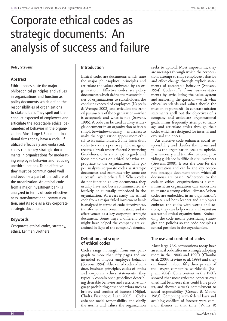# Corporate ethical codes as strategic documents: An analysis of success and failure

#### **Betsy Stevens**

# **Abstract**

Ethical codes state the major philosophical principles and values in organizations and function as policy documents which define the responsibilities of organizations to stakeholders. They spell out the conduct expected of employees and articulate the acceptable ethical parameters of behavior in the organization. Most large US and multinational firms today have a code. If utilized effectively and embraced, codes can be key strategic documents in organizations for moderating employee behavior and reducing unethical actions. To be effective they must be communicated well and become a part of the culture of the organization. An ethical code from a major investment bank is analyzed in terms of code effectiveness, transformational communication, and its role as a key corporate strategic document.

### **Keywords**

Ccorporate ethical codes, strategy, ethics, Lehman Brothers

#### **Introduction**

Ethical codes are documents which state the major philosophical principles and articulate the values embraced by an organization. Effective codes are policy documents which define the responsibilities of organizations to stakeholders, the conduct expected of employees (Kaptein & Wempe, 2002) and articulate the ethical parameters of the organization—what is acceptable and what is not (Stevens, 1996). A code can be used as a key strategic document in an organization or it can simply be window dressing—an artifact to make the organization appear more ethical to its stakeholders. Some firms draft codes to create a positive public image or receive a break under Federal Sentencing Guidelines; others attempt to guide and focus employees on ethical behavior appropriate to the organization. This paper analyzes corporate codes as strategic documents and examines why some are successful while others fail. When codes do not function as key documents, they usually have not been communicated effectively or culturally embedded in the organization. As a case study, the ethical code from a major failed investment bank is analyzed in terms of code effectiveness, transformational communication, and its effectiveness as a key corporate strategic document. Some ways a different code might have helped the company are examined in light of the company's demise.

# **Definition and scope of ethical codes**

Codes range in length from one paragraph to more than fifty pages and are intended to impact employee behavior (Stevens, 1994). Also called codes of conduct, business principles, codes of ethics and corporate ethics statements, they typically contain open guidelines describing desirable behavior and restrictive language prohibiting other behaviors such as bribery and conflict of interest (Nijhof, Cludts, Fisscher, & Laan, 2003). Codes enhance social responsibility and clarify the norms and values the organization

seeks to uphold. Most importantly, they are messages through which the corporations attempt to shape employee behavior and effect change through explicit statements of acceptable behavior (Stevens, 1994). Codes differ from mission statements by articulating the value system and answering the question—with what ethical standards and values should the mission be pursued? In contrast mission statements spell out the objectives of a company and articulate organizational goals. Firms frequently attempt to manage and articulate ethics through their codes which are designed for internal and external audiences.

An effective code enhances social responsibility and clarifies the norms and values the organization seeks to uphold. It is visionary and transformational, providing guidance in difficult circumstances (Stevens, 2008). It sets the tone for the organization and can be the key corporate strategic document upon which all decisions are based. Adherence to the code in ethical organizations is a commitment an organization can undertake to ensure a strong ethical climate. When codes are embedded in an organization's climate and both leaders and employees embrace the codes with words and actions, they can help create and maintain successful ethical organizations. Embedding the code means prioritizing strategies and policies so the code occupies a central position in the organization.

# **The use and content of codes**

Most large U.S. corporations today have an ethical code, after increasingly adopting them in the 1980's and 1990's (Chonko et al, 2003; Trevino et al, 1999) and they can found in about fifty three percent of the largest companies worldwide (Kaptein, 2004). Code content in the 1980's showed that most reflected concern over unethical behaviors that could hurt profits, and showed a weak commitment to social responsibility (Cressey & Moore, 1983). Complying with federal laws and avoiding conflicts of interest were common themes at that time (White &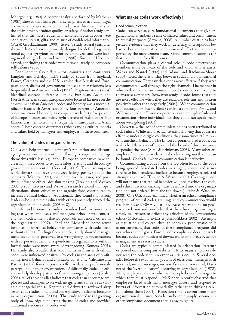the environment, product quality, or safety. Another study confirmed that the most frequently mentioned topics in codes were conflict of interest, gifts, and misuse of confidential information (Pitt & Groskaufmanis, 1990). Steven's study several years later showed that codes were primarily designed to defend organizational against egregious behavior by employees and were lacking in ethical guidance and vision (1996). Snell and Herndon agreed, concluding that codes were focused largely on corporate self-defense (2000).

Code content also differs across countries and continents. Langlois and Schelgelmilch's study of codes from England, France, Germany and the U.S. revealed that British and European codes discussed government and customer relations less frequently than American codes (1990). Kaptein's study (2004) identified content differences among European, Asian and North American codes. European codes focused far more on the environment than American codes and honesty was a more significant issue with Americans. Sixty four percent of American codes mentioned honestly as compared with forty five percent of European codes and thirty eight percent of Asian codes, but fairness was mentioned more frequently in European and Asian codes. These content differences reflect varying cultural beliefs and values held by managers and employees in these countries.

# **The value of codes in organizations**

Codes can help improve a company's reputation and discourage government intervention, allowing companies manage themselves with less regulation. European companies have increasingly used codes to regulate labor relations and discourage government intervention (Sobczak, 2003). They can improve work climate and leave employees feeling positive about the company (Manley, 1991), shape employee behavior, and positively influence ethical decision-making (Trevino and Weaver, 2003, p.258). Trevino and Weaver's research showed that open discussions about ethics in the organizations contributed to increased ethical behavior. Additionally they found that strong leaders who share their values with others positively affected the organization and its code (2003, p. 8).

Laufer and Robinson's study surrendered information showing that when employees' and managers' behavior was consistent with codes, their behavior positively influenced others in the organization (1997). Ford and Richardson noted fewer instances of unethical behavior in companies with codes than without (1994). Findings from another study showed management accountants perceived less wrongdoing in organizations with corporate codes and respondents in organizations without formal codes were more aware of wrongdoing (Somers, 2001). His study also revealed that accountants in firms with ethical codes were influenced positively by codes in the areas of profitability, moral behavior and charitable donations. Valentine and Barnett (2002) found a positive effect with sales professionals' perceptions of their organization. Additionally codes of ethics can help develop patterns of trust among employees (Scalet, 2006). All of these studies indicate that codes can encourage employees and managers to act with integrity and can serve as valuable managerial tools. Kaptein and Schwartz reviewed sixty seven code studies and found codes positively affected behavior in many organizations (2008). This study added to the growing body of knowledge supporting the use of codes and provided additional evidence that codes work.

# **What makes codes work effectively?**

### Good communication

Codes can serve as core foundational documents that give organizational members a sense of shared values and commitment to ethical purposes (Stevens, 2008). A number of studies have yielded evidence that they work in deterring unscrupulous behavior, but codes must be communicated effectively and supported by the management team. Good communication is the first requirement for effectiveness.

Communication plays a central role in code effectiveness; members must be aware of the code and know why it exists. Weeks and Nantel (1992) and Adams and Rachman-Moore (2004) noted the relationship between codes and organizational communication. They saw that codes were effective if they were communicated well through the right channels. The manner in which ethical codes are communicated contributes directly to their success or failure. Schwartz's study of codes found that they are most effective when they are readable, relevant and written positively rather than negatively (2004). When communication is discouraged or absent, silence can kill a company. Perlow and Williams cited the Enron corporation as an example of silenced organization where individuals felt they could not speak freely about wrongdoing (2003).

Conversely, the lack of communication has been attributed to code failure. While strong evidence exists showing that codes are effective under the right conditions, they sometimes fail to prevent unethical behavior. The Enron corporation had a code, but it also had three sets of books and the board of directors twice suspended the code (Sims & Brinkman, 2003). Many other examples of companies with ethical codes acting unethically can be found. Codes fail when communication is ineffective.

Communicating a code from the top often leads to the code being ignored. Mandated codes in a highly centralized structure have been rendered ineffective because employees rejected attempt at control (Trevino & Weaver, 2003). Creating a code will not insure that ethical behavior will occur; ethics, the code, and ethical decision-making must be infused into the organization and not ordered from the top down (Neube & Wasburn, 2008). One U.S. study examined whether an ethical compliance program of ethical codes, training, and communication would result in fewer OSHA violations. Researchers found no positive correlation and concluded that the ethics programs might simply be artifacts to deflect any criticism of the corporations' ethics (McKendall, DeMarr & Jones-Rikkers, 2002). Attempts at regulation and control through codes are problematic, so it is not surprising that codes in these compliance programs did not achieve their goals. Forced code compliance does not work because codes communicated downward to employees by senior management are seen as edicts.

Codes are typically communicated in orientation literature or posted on the company website. Hence many employees do not read the code until an event or crisis occurs. Several decades before the exponential growth of electronic messages such as e-mail, instant messages, memos, faxes, and voice mail, Davis noted the "overpublication" occurring in organizations (1972). Many employees are overwhelmed by a plethora of messages to which they must respond. McKibben recently observed that employees faced with many messages absorb and respond to bursts of information automatically, rather than thinking carefully about them (2003). Reflection time is absent from many organizational cultures; A code can become simply become another compliance document that is easy to ignore.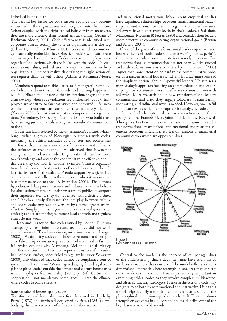#### Embedded in the culture

The second key factor for code success requires they become embedded in the organization and integrated into the culture. When coupled with the right ethical behavior from managers, they are more effective than formal ethical training (Adam & Rachman-Moore, 2004). Code effectiveness is identified with corporate boards setting the tone in organizations at the top (Schwartz, Dunfee & Kline, 2005). Codes which become organizationally embedded have effective leaders who can create and manage ethical cultures. Codes work when employees see organizational actions which are in line with the code. Discussions about values, and debates in companies with codes help organizational members realize that taking the right action often requires dialogue with others (Adams & Rachman-Moore, 2004).

Members respond to visible justice so if managers' or employees' behaviors do not match the code and nothing happens, it will fail. Nitsch et al observed that frustration, anger and cynicism develop when code violations are unchecked (2005). Employees are sensitive to fairness issues and perceived unfairness or unequal treatment can cause low trust in the organization (Kickup, 2005). As distributive justice is important in organizations (Greenberg, 1990), organizational leaders who build trust by ensuring justice prevails strengthen members' commitment to the code.

Codes can fail if rejected by the organization's culture. Marnburg studied a group of Norwegian businesses with codes, measuring the ethical attitudes of engineers and economists and found that the mere existence of a code did not influence the attitudes of respondents. He observed that it was not enough simply to have a code. Organizational members need to acknowledge and accept the code for it to be effective, and in this case, they did not. In another example, Chinese organizations failed to adopt best practices of a code because of the collectivist features in the culture. Pseudo-support was given, but companies did not adhere to the code even when it was in their best interests to do so (Snell & Herndon, 2000). The authors hypothesized that power distance and culture caused the behavior since subordinates are under pressure to publically support their superiors even if they do not agree with a decision. Snell and Herndon's study illustrates the interplay between culture and codes; codes imposed on workers by external agents are ineffective. Simply put, managers cannot order employees to act ethically; codes attempting to impose legal controls and regulate ethics do not work.

Healy and Iles found that codes issued by London IT firms attempting govern information and technology did not work and behavior of IT end users in organizations was not changed (2002). Again using codes to achieve governance and compliance falied. Top down attempts to control used in this fashion fail, which explains why Marnburg, McKendall et al, Healey and Iles and Snell and Herndon reported unsuccessful results. In all of these studies, codes failed to regulate behavior. Schwartz (2000) also observed that codes cannot be compliance control systems and Trevino and Weaver agreed saying forced legal compliance places codes outside the climate and culture boundaries where employees feel ownership (2003, p. 194). Culture and cooperation—not mandatory compliance—create the climate where codes become effective.

#### Transformational leadership and codes

Transformational leadership was first discussed in depth by Burns (1978) and furthered developed by Bass (1985) as embodying the characteristics of influence, intellectual stimulation and inspirational motivation. More recent empirical studies have explained relationships between transformational leadership and motivation, attitudes and organizational performance. Followers have higher trust levels in their leaders (Podsakoff, MacKenzie, Morman & Fetter, 1990) and consider their leaders more effective at communicating organizational goals (Berson and Avolio, 2004).

If one of the goals of transformational leadership is to "make better citizens of both leaders and followers" ( Burns, p. 461), then the ways leaders communicate is extremely important. But transformational communication has not been widely studied and little information exists on the subject. Fairhurst (2007) argues that more attention be paid to the communicative process of transformational leaders which might undermine some of the simplistic notions about all-powerful leaders. He stresses a more dialogic approach focusing on communication and leadership, upward communication and effective communication with followers. More research about how transformational leaders communicate and ways they engage followers in stimulating, motivating, and influential ways is needed. However, one useful framework exists which is appropriate for analyzing codes.

 A model which captures discourse interaction is the Competing Values Framework (Quinn, Hildebrandt, Rogers, & Thompson, 1991) which is used to assess communication. The transformational, instructional, informational, and relational elements represent different rhetorical dimensions of managerial communication which are opposite values.



Figure 1 Competing Values Framework

Central to the model is the concept of competing values or the understanding that a document may have strengths or weaknesses in more than one area. The model reflects a multidimensional approach where strength in one area may directly cause weakness in another. This is particularly important in examining ethical codes as they involve complex, multifaceted, and often conflicting ideologies. Hence architects of a code may design it to be both transformational and instructive. Using this model helps identify more than content; it reveals some of the philosophical underpinnings of the code itself. If a code shows strength or weakness in a quadrant, it helps identify some of the key characteristics of that code.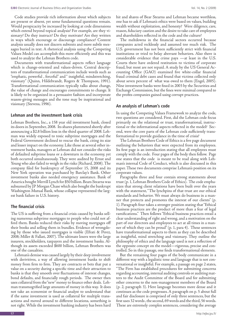Code studies provide rich information about which subjects are present or absent, yet some fundamental questions remain. Would perspicacity be increased by looking at code dimensions which extend beyond topical analysis? For example, are they visionary? Do they instruct? Do they motivate? Are they written in ways which encourage or discourage compliance? Content analysis usually does not discern subtexts and more subtle messages buried in text. A rhetorical analysis using the Competing Values Model can accomplish this more efficiently and this was used to analyze the Lehman Brothers code.

Documents with transformational aspects reflect language which is change-oriented and values-driven. Central descriptors of transformational communication include words such as "emphatic, powerful , forceful" and " insightful, mindstretching, visionary" (Quinn, Hildebrandt, Rogers & Thompson, 1991). Transformational communication typically talks about change, the value of change and encourages commitments to change. It is likely to be organized in a persuasive fashion and incorporate reason-giving messages and the tone may be inspirational and visionary (Stevens, 1996).

#### **Lehman and the investment bank crisis**

Lehman Brothers, Inc., a 158 year old investment bank, closed its doors in September, 2008. Its shares plummeted shortly after announcing a \$2.8 billion loss in the third quarter of 2008. Lehman was widely exposed to toxic subprime mortgages and the Federal Government declined to rescue the bank, citing its size and lesser impact on the economy. Like those at several other investment banks, managers at Lehman did not consider the risks of defaulted subprime loans or a downturn in the economy, yet both occurred simultaneously. They were audited by Ernst and Young who also failed to weigh in the risks (Richard, 2008). The company filed for bankruptcy of September 15, 2008 and its New York operation was purchased by Barclay's Bank. Other investment banks also needed emergency assistance. Bank of America bought Merrill Lynch for \$50 billion. Bears Stearns was subsumed by JP Morgan Chase which also bought the bankrupt Washington Mutual Bank, whose collapse represented the largest bank failure in U.S. history.

### **The financial crisis**

The US is suffering from a financial crisis caused by banks selling numerous subprime mortgages to people who could not afford them. Banks reduced their risks by moving mortgages off their books and selling them in bundles. Evidence of wrongdoing by those who issued mortgages is visible (Efrati & Perez, 2008; Miller & Fallati, 2007). The ultimate losers were the large insurers, stockholders, taxpayers and the investment banks. Although its assets exceeded \$600 billion, Lehman Brothers was one of the casualties.

Lehman's demise was caused largely by their deep involvement with derivitives, a way of allowing investment banks to shift money from firm to firm. They are contracts or bets that put a value on a security during a specific time and their attraction to banks is that they smooth over fluctuations of interest changes, bond defaults, and financially rough periods. The owner then uses collateral from the "new" money to finance other deals. Lehman transmogrified large amounts of money in this way. It does not take an economist or financial analyst to understand that if the same investment is used as collateral for multiple transactions and moved around to different locations, something is not right. While the investment banking industry has been hard

hit and shares of Bear Stearns and Lehman became worthless, one has to ask if Lehman's ethics were based on values, building wealth without exploitation, and honesty? Were diligence, care, reason, fiduciary caution and the desire to take care of employees and shareholders reflected in the code and the culture?

The meltdowns in the financial sectors occurred because companies acted recklessly and assumed too much risk. The U.S. government has not been sufficiently strict with financial institutions or tried to belay aberrant behaviors. Also there is considerable evidence that crime pays —at least in the U.S. Courts there have ordered restitution to victims of corporate fraud, but most are not repaid. A study by the US General Accounting Office (GAO) examined five white-collar financial fraud criminal debt cases and found that victims collected only about seven percent of what was owed to them (Engel, 2005). Nine investment banks were fined in 2003 by the Securities and Exchange Commission, but the fines were minimal compared to the profits companies gained using corrupt practices.

#### **An analysis of Lehman's code**

In using the Competing Values Framework to analyze the code, two questions are considered. First, did the Lehman code focus primarily on the relational or trust, transformational, instructional or the informational aspects reflected in the model? Second, were the core parts of the Lehman code sufficiently transformational to provide guidance in the time of crisis?

The Lehman Brothers Code of Ethics is a five page document outlining the behaviors that were expected from its employees. Its first page is an introduction stating that all employees must comply with the code. Four pages of the body then follow. Page one states that the code is meant to be read along with Lehman's internal Code of Conduct, which is also discussed in this paper. These two documents comprise Lehman's position on its corporate values.

Paragraphs three and four contain strong statements about trust (p. 1, Lehman Brothers Code of Ethics). The code emphasizes that strong client relations have been built over the years with the statement, "The lynchpins of that trust are our ethical standards and behavior. We must always do business in a manner that protects and promotes the interest of our clients" (p. 1). Paragraph four takes a stronger position stating that "Ethical business practices are the product of more than a fear of legal ramifications." Then follows "Ethical business practices entail a clear understanding of right and wrong, and a motivation on the part of our directors and employees to act at all times in a manner of which they can be proud" (p. 1, para 4). These sentences have transformational aspects to them as they can be described as insightful, mind stretching and visionary. They outline the philosophy of ethics and the language used is not a reflection of the opposite concept on the model—rigorous, precise and controlled. So in this passage, one finds transformational elements.

But the remaining four pages of the body communicate in a different way with a legalistic tone and language that is not conversational or insightful. For example, a passage on page 2 states, "The Firm has established procedures for submitting concerns regarding accounting, internal auditing controls or auditing matters to the Audit Committee of the Board and for submitting other concerns to the non-management members of the Board (p. 2, paragraph 3). Here language becomes more dense and it continues as the code progresses. A paragraph on p. 5 about full and fair disclosure is comprised of only three sentences, but the first uses 32 words , the second, 69 words and the third, 56 words. These are extremely complex sentences, considering the average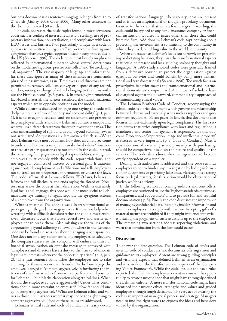business document uses sentences ranging in length from 16 to 24 words (Guffey, 2008; Ober, 2006). Many other sentences in the document exceed 50 words.

The code addresses the basic topics found in most corporate codes such as conflict of interest, retaliation, stealing, use of proprietary information, non-retaliation, and compliance with laws, EEO issues and fairness. Not particularly unique as a code, it appears to be written by legal staff to protect the firm against egregious behavior, a typical approach used in corporate codes in the US (Stevens, 1996). The code relies most heavily on phrases reflected in informational quadrant whose central descriptors on the model are "rigorous, precise controlled" and "focused, logical, organized." The vast majority of language and information fits these descriptors as many of the sentences are commands phrased in passive voice, as in "Employees and directors are not permitted to remove, sell, loan, convey, or dispose of any record, voucher, money, or things of value belonging to the Firm without the Firm's consent" (p. 3, para. 4). In stressing informational, fact-based material, the writers sacrificed the transformational aspects which are in opposite positions on the model.

While culture is discussed on page one saying the code will "help maintain a culture of honesty and accountability" (p. 1, para 1), it is never again discussed and no statements are present to help employees understand how Lehman's culture is unique and what values differentiate it from the other investment banks. The clear understanding of right and wrong beyond violating laws is not articulated. So questions are left answered such as --What does Lehman value most of all and how does an employee come to understand Lehman's unique cultural ethical values? Answers to these are other questions are not found in the code. Instead, the remaining four pages stress legal responsibilities, stating that employees must comply with the code, report violations, and not engage in conflicts of interest or personal gain. It cautions against outside employment and affiliations and tells employees not to steal, act on proprietary information, or violate the laws. The code affirms that Lehman follows EEO laws, believes in fairness and full disclosure and ends saying the Board of Directors may waive the code at their discretion. With its extremely legal focus and language, this code would be most useful to Lehman attorneys wanting to legally separate the egregious actions of an employee from the organization.

What is missing? The code is weak in transformational aspects giving little guidance in gray areas. It does not help when wrestling with a difficult decision; rather the code almost exclusively discusses topics that violate federal laws and warns employees not to break them. Also missing are the values of the corporation beyond adhering to laws. Nowhere in the Lehman code can be found a discussion about managing risk responsibly. One does not find any statement telling employees to safeguard the company's assets so the company will endure in times of financial stress. Rather, an opposite message in conveyed with "Employees and directors have a duty to the firm to advance its legitimate interests whenever the opportunity arises." (p. 3, para 2). The next sentence admonishes the employees not to take anything for themselves or their friends. On the fourth page the employee is urged to "compete aggressively in furthering the interests of the firm" which, of course, is a perfectly valid position for Lehman ---but it lacks elaboration along ethical lines. When should the employee compete aggressively? Under what conditions should more restraint be exercised? How far should one go in competing aggressively? What are Lehman ethics and values in those circumstances where it may not be the right thing to compete aggressively? None of these issues are addressed.

Lehman's ethical code and code of conduct are nearly devoid

of transformational language. No visionary ideas are present and it is not an inspirational or thought-provoking document. Generic to the extent that with a few changes in wording, the code could be applied to any bank, insurance company or financial institution, it raises no issues other than those that could hurt the firm. Additionally, Lehman's code says nothing about protecting the environment, a committing to the community in which they lived, or adding value to the world community.

When codes such as Lehman's focus too narrowly on prescribing or dictating behavior, they miss the transformational aspects that could be present and lack guiding, visionary thoughts and language. A 1996 study showed codes were generally framed from a defensive position to protect the organization against egregious behavior and could benefit by being more instructional and transformational (Stevens, 1996). Too much focus on prescriptive behavior means the transformational and instructional elements are compromised. A number of scholars have also argued against the downward, command-style approach of communicating ethical values.

The Lehman Brothers Code of Conduct, accompanying the ethical code, is a brief document which governs the relationship between Lehman and external parties such as suppliers and government regulators. Seven pages in length, this document also focuses almost exclusively upon legal compliance. The first section states that strict compliance with laws and regulations is mandatory and senior management is responsible for this outcome. Protection of "reputation, image and intellectual property" is stressed as very important (p. 3, Code of Conduct). Next it says selection of external parties, primarily with purchasing, should be competitive, based on the nature and quality of the services. The code also admonishes managers not to become overly dependent on a supplier.

Dealing with authorities is addressed and the code reminds employees to not to hinder any investigation by hiding information or documents or providing false ones. Here again is a strong focus on legal matters, for this action would be obstruction of justice, which is a felony.

In the following section concerning auditors and controllers, employees are cautioned to use the "highest standards of fairness, transparency, and cooperation" and to provide full and truthful documentation ( p. 5). Finally the code discusses the importance of managing confidential data, including insider information and reminds employees to comply with the law. Accepting gifts of a material nature are prohibited if they might influence impartiality, leaving the judgment of such situations up to the employees. The remaining two sections address reporting violations and warn that termination from the firm could occur.

#### **Discussion**

To answer the first question, The Lehman code of ethics and internal code of conduct are not documents offering vision and guidance to its employees. Absent are strong guiding principles and visionary aspects that defined Lehman as an organization and it is weak on the transformational aspects of the Competing Values Framework. While the code lays out the basic rules expected of all Lehman employees, executives missed the opportunity to create a unique code that might have throughly defined the Lehman culture. A more transformational code might have identified their unique ethical strengths and values and guided employees through tough decisions. The very act of creating the code is an important managerial process and strategy. Managers need to find the right words to express the ideas and behaviors valued by the organization.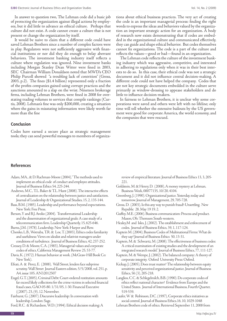In answer to question two, The Lehman code did a basic job of protecting the organization against illegal actions by employees, but it did little to advance an ethical culture. Perhaps that culture did not exist. A code cannot create a culture that is not present or change the organization by itself.

It would be naive to claim that a different code could have saved Lehman Brothers since a number of complex factors were in play. Regulators were not sufficiently aggressive with financial institutions or nor did they do enough to belay aberrant behaviors. The investment banking industry itself reflects a culture where regulation was ignored. Nine investment banks including Morgan Stanley Dean Witter were fined in 2003, SEC Chairman William Donaldson noted that MWD's CEO Philip Purcell showed "a troubling lack of contrition" (Gross, 2003, p.2). The fines (\$1.4 billion) represented only a fraction of the profits companies gained using corrupt practices and the sanctions amounted to a slap on the wrist. Nineteen brokerage firms, including Lehman Brothers, were fined in 2008 for overstating trading volumes to services that compile rankings (Curtis, 2008). Lehman's fine was only \$200,000, creating a situation where the gains in misstating information were likely worth far more than the fine

### **Conclusion**

Codes have earned a secure place as strategic management tools; they can send powerful messages to members of organiza-

### **References**

- Adam, MA., & D. Rachman-Moore (2004), "The methods used to implement an ethical code of conduct and employee attitudes, Journal of Business Ethics 54, 225-244.
- Andrews, M.C., T.L. Baker & T.L. Hunt (2008). The interactive effects of centralization on the relationship between justice and satisfaction. Journal of Leadership & Organizational Studies, 15, 2, 135-144.
- Bass, B.M. (1985). Leadership and performance beyond expectations. New York: Free Press.
- Berson, Y and B.J. Avolio (2004). Transformational Leadership and the dissemination of organizational goals: A case study of a telecommunication firm. Leadership Quarterly, 15, 625-646.

Burns, J.M. (1978). Leadership. New York: Harper and Row.

- Chonko, L.B., Wotruba, T.R. & Loe, T. (2003), Ethics codes familiarity and usefulness: Views on idealist and relativist managers under conditions of turbulence. Journal of Business Ethics, 42, 237-252.
- Cressey, D. & Moore, C.A. (1983), Managerial values and corporate codes of ethics, California Management Review 25, 53-77.
- Davis, K. (1972). Human behavior at work. (McGraw-Hill Book Co: New York).
- Efrati, A & Perez, E. (2008), Wall Street, lenders face subprime scrutiny. Wall Street Journal Eastern edition, 5/5/2008, vol. 251, p. A4, issue 105. AN32012507
- Engel, G.T. (2005), Criminal Debt: Court-ordered restitution amounts far exceed likely collections for the crime victims in selected financial fraud cases, GAO-05-80. 1/31/05, 1-30. Financial Executive ((2007). 23, (9), 12. November.
- Fairhurst, G. (2007). Discursive leadership: In conversation with leadership. London: Sage.

Ford, R.C. & Richardson, W.D. (1994). Ethical decision making: A

tions about ethical business practices. The very act of creating the code is an important managerial process: finding the right words to express the ideas and behaviors valued by the organization an important strategic action for an organization. A body of research now exists demonstrating that if codes are embedded in the organizational culture and communicated effectively, they can guide and shape ethical behavior. But codes themselves cannot fix organizations. The code is a part of the culture and reflects the values—good or bad—found in an organization.

The Lehman code reflects the culture of the investment banking industry which was aggressive, competitive, and interested in adhering to regulations only when it was in their best interests to do so. In this case, their ethical code was not a strategic document and it did not influence central decision-making. A different code could not have helped the company. Codes that are not key strategic documents embedded in the culture serve primarily as window-dressing to appease stakeholders and do little to influence decision-makers.

In fairness to Lehman Brothers, it is unclear why some corporations were saved and others were left with no lifeline; only time will tell whether the extensive bailouts by the US government were good for corporate America, the world economy, and the companies that were rescued.

review of empirical literature. Journal of Business Ethics 13, 3, 205- 221.

- Goldstein, M. & Henry, D. (2008), A money mystery at Lehman, Business Week, 00077135, 10/20, 4104.
- Greenberg, J. (1990). Organizational justice. Yesterday, today and tomorrow. Journal of Management, 29, 705-728.
- Gross, D. (2003), Is this any way to punish fraud?-Unsettling. New Republic 28, May 19 19. 2.
- Guffey, M.E. (2006). Business communication: Process and product. Mason, Oh: Thomson South-western.
- Healey,M and Isles, J. (2002). The establishment and enforcement of codes. Journal of Business Ethics, 39, 1, 117-124.
- Kaptein M. (2004), Business Codes of Multinational Firms: What do they say? Journal of Business Ethics 50, 13-31.
- Kaptein, M. & Schwartz, M. (2008). The effectiveness of business codes: A critical examination of existing studies and the development of an integrated research model." Journal of Business Ethics, 77, 111-127.
- Kaptein, M. & Wempe, J. (2002). The balanced company: A theory of corporate integrity. Oxford University Press: Oxford.
- Kickup, J. (2005), Does trust matter? The relationship between equity sensitivity and perceived organizational justice. Journal of Business Ethics, 56 (3), 205-218.
- Langlios, C.C. & Schlegelmilch, B.B. (1990). Do corporate codes of ethics reflect national character? Evidence from Europe and the United States. Journal of International Business, Fourth Quarter, 519-539.

Laufer, W & Robinson, D.C. (1997), Corporate ethics initiatives as social control. Journal of Business Ethics.16, 10, 1029-1048

Lehman Brothers code of ethics. Retrieved September 11, 2008 from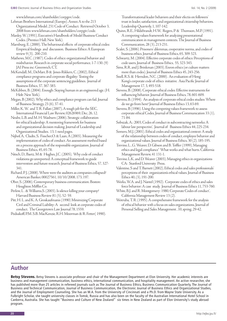www.lehman.com/shareholder/corpgov/code.

Lehman Brothers International (Europe). Annex A to the 213 Organizational Model. 231 Code of Conduct. Retrieved October 3, 2008 from www.lehman.com/shareholders/corpgiv/code.

Manley, W. (1991), Executive's Handbook of Model Business Conduct Codes. (Prentice Hall; New York).

Marnburg, E. (2000), The behavioural effects of corporate ethical codes: Empirical findings and discussion. Business Ethics: A European review 9 (3), 200-210.

Mathews, M.C. (1987). Codes of ethics: organizational behavior and misbehavior. Research in corporate social performance, 1-7-130. (9) JAI Press inc: Greenwich, CT,

McKendall, M., DeMarr, B & Jones-Rikkers, C. (2002), Ethical compliance programs and corporate illegality: Testing the assumptions of the corporate sentencing guidelines. Journal of Business Ethics, 37, 367-383.

McKibben, B. (2004). Enough: Staying human in an engineered age. (H. Holt: New York).

Megan, B (2002), Why ethics and compliance program can fail. Journal of Business Strategy, 23 (6), 37-41.

Miller, K. W. and T. R. Fallati (2007), A tough job for the SEC, International Financial Law Review, 02626969, Dec, 26, 12.

Neube, L.B. and M. H. Wasburn (2006). Strategic collaboration for ethical leadership: A mentoring framework for business and organizational decision making. Journal of Leadership and Organizational Studies. 13, 1 need pages.

Nijhof, A, Cludts, S, Fisscher,O. & Laan, A (2003). Measuring the implementation of codes of conduct. An assessment method based on a process approach of the responsible organization. Journal of Business Ethics, 45, 65-78.

Nitsch, D., Baetz, M & Hughes, J.C. (2005), Why code of conduct violations go unreported: A conceptual framework to guide intervention and future research. Journal of Business Ethics, 57, 327- 341.

Richard, P.J. (2008). Where were the auditors as companies collapsed? American Banker, 00027561, 10/10/2008, 173, 197.

Ober, S. (2006). Contemporary business communication. Boston: Houghton Mifflin Co.

Perlow, L. & Williams, S. (2003). Is silence killing your company? Harvard Business Review 81 (5), 52- 59.

Pitt, H. L. and K. A. Groskaufmanis (1990) Minimizing Corporate Civil and Criminal Liability: A second look at corporate codes of conduct. The Georgetown Law Journal 78, 1559.

Podsakoff, P.M. S.B. MacKenzie, R.H. Moorman & R. Fetter( 1990).

Transformational leader behaviors and their efectis on followers' trust in leader, satisfaction, and organizational citizenship behaviors. Leadership Quarterly, 1, 107-142.

Quinn, R.E., Hildebrandt, H.W, Rogers, P & Thomson, M.P. (1991). A competing values framework for analyzing presentational communication in management contexts. The Journal of Business Communication, 28 (3), 213-231.

Scalet, S. (2006). Prisoners' dilemmas, cooperative norms, and codes of business ethics. Journal of Business Ethics, 65, 309-323.

Schwartz, M. (2004). Effective corporate codes of ethics: Perceptions of code users, Journal of Business Ethics, 55, 323-343.

Sims, R.R. and J. Brinkman (2003). Enron ethics (or culture matters more than codes). Journal of Business Ethics 45, 243-256.

Snell, R.S. & Herndon, N.C. (2000). An evaluation of Hong Kong's corporate code of ethics initiative. Asia Pacific Journal of Management 17, 3, 493-518.

Stevens, B. (2008). Corporate ethical codes: Effective instruments for influencing behavior. Journal of Business Ethics, 78, 601-609.

Stevens, B. (1994). An analysis of corporate ethical codes studies: Where do we go from here? Journal of Business Ethics 13, 63-69.

Stevens, B (1996). Using the competing values framework to assess corporate ethical Codes, Journal of Business Communication 33 (1), 71-84.

Sobszak, A.: 2003, Codes of conduct in subcontracting networks: A labour law perspective', Journal of Business Ethics 44, 225-234.

Somers, M.J. (2001). Ethical codes and organizational context: A study of the relationship between codes of conduct, employee behavior and organizational values. Journal of Business Ethics, 30 (2), 185-195.

Trevino, L. ,G. Weaver, D. Gibson and B. Toffler (1999), Managing ethics and legal compliance" What works and what hurts. California Management Review, 41 131-1.

Trevino, L.K. and D. Weaver (2003), Managing ethics in organizations CA: Stanford University Press.

Valentine, S and T. Barnett (2002), Ethical codes and sales professionals' perceptions of their organization's ethical values. Journal of Business Ethics 40, (3), 191-200.

Weeks, W.A. and J. Nantel (1992). Corporate codes of ethics and sales force behavior: A case study. Journal of Business Ethics 11, 753-760.

White, B.J. and R. Montgomery: 1980, Corporate Codes of conduct', California Management Review 13 (2).

Wotruba, T. R. (1995). A comprehensive framework for the analysis of ethical behavior with a focus on sales organizations, Journal of Personal Selling and Sales Management , 10, spring, 29-42.

# **Author**

Betsy Stevens. Betsy Stevens is associate professor and chair of the Management Department at Elon University. Her academic interests are business and management communication, business ethics, international communication, and hospitality management. An active researcher, she has published more than 25 articles in refereed journals such as The Journal of Business Ethics, Business Communication Quarterly, The Journal of Business and Technical Communication, Journal of Business Communication, the Electronic Journal of Business Ethics and Organizational Studies, and the Journal of Employment Counseling. She has an M.A. from the University of Cincinnati and a Ph.D. from Wayne State University. As a Fulbright Scholar, she taught university classes in Tomsk, Russia and has also been on the faculty of the Australian International Hotel School in Canberra, Australia. She has taught "Business and Culture of New Zealand" six times in New Zealand as part of Elon University's study abroad program.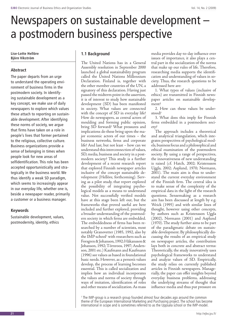# Newspapers on sustainable development – a postmodern business perspective

### **Lise-Lotte Hellöre Björn Vikström**

# **Abstract**

The paper departs from an urge to understand the operating environment of business firms in the postmodern society. In identifying sustainable development as a key concept, we make use of daily newspapers to explore which values these attach to reporting on sustainable development. After identifying these norms of society, we argue that firms have taken on a role in people's lives that former pertained to the religious, collective culture. Business organizations provide a sense of belonging in times when people look for new areas of selfidentification. This role has been accepted opportunistically and strategically in the business world. We thus identify a weak SD paradigm, which seems to increasingly appear in our everyday life, whether one is, beside a newspaper reader, primarily a customer or a business manager.

# **Keywords**

Sustainable development, values, postmodernity, identity, ethics

# **1.1 Background**

The United Nations has in a General Assembly resolution in September 2000 launched a global sustainability program called the United Nations Millennium Declaration. Finland is, together with the other member countries of the UN, a signatory of this declaration. Having just passed the midterm point in the assertion, it is of interest to study how sustainable development (SD) has been manifested in society. What values are connected with the concept of SD in everyday life? How do newspapers, as central actors of moulding and forming public opinion, bring SD forward? What pressures and implications do these bring upon the major economic actors of our times – the business networks, firms and corporate life? And last, but not least – how can we understand this interconnection of values, SD, media, business and society in a postmodern society? This study is a further development of a recent research report that explored Finnish newspaper articles inclusive of the concept sustainable development (Hellöre, forthcoming). Serving as a pilot study, that report explored the possibility of integrating psychological models as a means to understand value. Not successfully verified models have at this stage been left out, but the frameworks that proved useful are here included and further explored, providing a broader understanding of the postmodern society in which firms are embedded. The embeddedness of firms has been researched by a number of scientists, most notably Granovetter (1985, 1992, also by the IMP-school<sup>1</sup> with researchers such as Forsgren & Johanson, 1992; Håkansson & Johanson, 1992; Törnroos, 1997; Andersson, 2001 etc.) Kaufmann and Kaufmann (1996) see values as based in foundational basic needs. However, as a person's values develop, the process of learning becomes essential. This is called socialization and implies how an individual incorporates the values and norms of society through ways of imitation, identification of roles and other means of socialization. As mass

media provides day-to-day influence over issues of importance, it also plays a central part in the socialization of the norms that make up our rules of life. Therefore, researching media supports the identification and understanding of values in society. Thus, the research questions to be addressed here are:

1. What types of values (inclusive of ethics) are transmitted in Finnish newspaper articles on sustainable development?

2. How can these values be understood?

3. What does this imply for Finnish firms embedded in a postmodern society?

The approach includes a theoretical and analytical triangulation, which integrates perspectives of psychological models, business focus and a philosophical and ethical examination of the postmodern society. By using a range of perspectives, the innovativeness of new understanding is raised (cf. Hatch, 2002; Kristensson Uggla, 2002; Asplund, 1970; Normann, 2001). The main aim is thus to understand the current everyday environment of the Finnish firm. The central idea is to make sense of the complexity of the empirical data in the light of the research questions. Sensemaking as a research aim has been discussed at length by e.g. Weick (1995) and with similar lines of thought, however using other concepts, by authors such as Kristensson Uggla (2002), Normann (2001) and Asplund (1970). The study further aims to be part of the paradigmatic debate on sustainable development. By philosophically discussing the results of an empirical study on newspaper articles, the contribution lays both in concrete and abstract terms: Theoretically, the study innovatively uses psychological frameworks to understand and analyze values of SD. Empirically, the study relies on currently published articles in Finnish newspapers. Managerially, the paper can offer insights beyond everyday business problems, addressing the underlying streams of thought that influence media and thus put pressure on

<sup>1</sup> The IMP-group is a research group founded almost four decades ago around the common theme of the European International Marketing and Purchasing project. The school has become international in scope and is sometimes referred to as the Uppsala school or the IMP-model.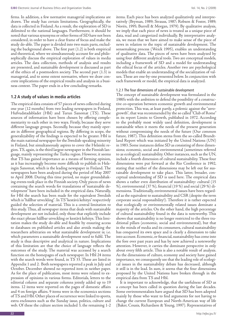firms. In addition, a few normative managerial implications are drawn. The study has certain limitations. Geographically, the data is collected in Finland. As a result, the exploration of SD is delimited to the national languages. Furthermore, it should be noted that various synonyms or other forms of SD have not been considered, in order to have a clear frame of focus and make the study do-able. The paper is divided into two main parts, excluding the background above. The first part (1.2) is both empirical and theoretical, where we simultaneously account for and philosophically discuss the empirical exploration of values in media articles. The data collection, methods of analysis and results are presented, and sustainable development is discussed as part of the ethics of a postmodern society. The second part (1.3) is managerial, and to some extent normative, where we draw concrete implications of the empirical results and analysis in a business context. The paper ends in a few concluding remarks.

# **1.2 A study of values in media articles**

The empirical data consists of 57 pieces of news collected during one year (12 months) from two leading newspapers in Finland, Hufvudstadsbladet (Hbl) and Turun Sanomat (TS). These sources of information have been chosen by offering complementarity to each other in two ways. Firstly, because they serve different language groups. Secondly, because they mainly operate in different geographical regions. By differing in scope, the generalizability of the findings is expected to be greater. Hbl is the main national newspaper for the Swedish-speaking minority in Finland, but simultaneously aspires to cover the Helsinki region. TS, again, is the third largest newspaper in the Finnish language, mainly representing the Turku region. However, it seems that TS has gained importance as a means of forming opinion, as it has increasingly become more difficult to publish in Helsingin Sanomat, which is the leading newspaper in Finland. The newspapers have been analyzed during the period of May 2007 to April 2008. During this time period, no major groundshaking events took place in the Finnish society. Only pieces of news containing the search words for translations of "sustainable development" have been included in the empirical data. Naturally, for Hbl the search has been made for the equivalent Swedish which is "hållbar utveckling". In TS "kestävä kehitys" respectively guided the selection of material. This is a central limitation to this study. Thus, all newspaper items that deals with sustainable development are not included, only those that explicitly include the exact phrase hållbar utveckling or kestävä kehitys. This limitation makes the study do-able and feasible by ensuring access to databases on published articles and also avoids making the researchers arbitraries on what sustainable development is; i.e. which parameters a sustainable development need to fulfil. The study is thus descriptive and analytical in nature. Implications of this limitation are that the choice of language reflects the outcomes of the study. The material was accessed by a search function on the homepages of each newspaper. In Hbl 24 items with the search words were found, in TS 33. These are listed in Appendix 1 and 2. Both newspapers reported a peak in July and October. December showed no reported item in neither paper. As for the place of publication, most items were related to expression of opinions in various forms. Editorials, letters to the editorial column and separate columns jointly added up to 19 items. 12 items were reported on the pages of domestic affairs and 4 on foreign affairs. 9 items were in the economics sections of TS and Hbl. Other places of occurrence were linked to sports, extra enclosures such as the Sunday issue, politics, culture and web. Of these the culture section included 3, the remaining 1-2

items. Each piece has been analyzed qualitatively and interpretatively (Bryman, 1989; Strauss, 1987; Robson & Foster, 1989; Norén, 1995; Burrell & Morgan, 1979). By qualitative analysis, we imply that each piece of news is treated as a unique piece of data, read and categorized individually. By interpretative analysis, we mean that we have aimed to make sense of the piece of news in relation to the topic of sustainable development. The sensemaking process (Weick 1995), enables an understanding of qualitative data. The pieces of news have been analyzed by using four different analytical tools. Two are conceptual models, including a framework of SD and a model for understanding the ethical focus of the articles. Another two are psychological models that enable an understanding of the socialization of values. These are one-by-one presented below. In conjunction with each framework or model, the empirical data is analyzed.

#### 1.2.1 The four dimensions of sustainable development

The concept of sustainable development was formulated in the 1980's with the ambition to defend the possibility of a constructive co-operation between economic growth and environmental protection. This was, at least partly, a polemic against the "zerogrowth", that was recommended by the so called "Club of Rome" in its report Limits to Growth, published in 1972. According to the probably most widely used definition, development is sustainable when it meets the needs of the present generation without compromising the needs of the future (Our common future, 1987). This definition stems from the so-called Brundtland Report which was initiated by the United Nations (UN) in 1983. Some instances define SD as consisting of three dimensions; economic, social and environmental (sometimes referred to as ecological) sustainability. Other instances, such as the UN, include a fourth dimension of cultural sustainability. These four dimensions were put forward at the Rio Conference in 1992, stating that neither of the dimensions may be left out for sustainable development to take place. This latter, broader, conceptual understanding of SD is used here. The empirical data shows a rather even distribution of sustainability: cultural (15 %), environmental (37 %), financial (19 %) and social (29 %) dimensions. Traditionally, environmental issues have been regarded as the equivalent to sustainability and CSR (despite the term corporate social responsibility!). Therefore it is rather expected that ecologically or environmentally related issues dominate a majority of the articles. On the other hand, the high percentage of cultural sustainability found in the data is noteworthy. This shows that sustainability is no longer restricted to the three traditional pillars (economic, social and environmental), but that in the minds of media and its consumers, cultural sustainability has conquered its own space and is clearly a dimension to take into account. Economic, or financial, sustainability has come into the fore over past years and has by now achieved a noteworthy attention. However, it carries the dominant perspective in only about every fifth article. This is also a notable result of analysis. As the dimensions of culture, economy and society have gained importance, we consequently see that the leading role of ecological issues in the sustainability debate has decreased, although it still is in the lead. In sum, it seems that the four dimensions proposed by the United Nations have broken through in the empirical data from TS and Hbl.

It is important to acknowledge, that the usefulness of SD as a concept has been called in question during the last decades. Some environmentalists have argued that SD has been adopted mainly by those who want to find arguments for not having to change the current European and North-American way of life (Baker, Cousis, Richardson & Young, 1997). Representatives of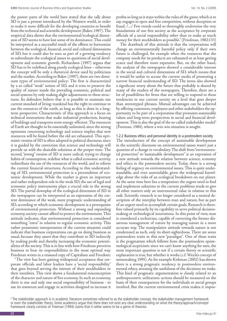the poorer parts of the world have stated that the talk about SD is just a pretext introduced by the Western world, in order to make it more difficult for the developing countries to benefit from the technical and scientific development (Baker, 1997). The empirical data shows that the environmental/ecological dimension of SD seems to have lost some of its dominance. This could be interpreted as a successful result of the efforts to harmonize between the ecological, financial, social and cultural dimensions of SD, but it could also be seen as part of a growing tendency to subordinate the ecological issues to questions of social development and economic growth. Richardson (1997) argues that SD has to be redefined along purely ecological lines – otherwise the concept will be only a rhetorical device used by politicians and the market. According to Baker (1997), there are two dominant types of environmental policy: The first is characterized by a so called "weak" notion of SD, and it tries to preserve the quality of nature inside the prevailing economic, political and social systems by only making slight adjustments to these structures. Its defenders believe that it is possible to maintain our current standard of living: mankind has the right to continue to use the resources of the earth, as long as this is done in a longterm perspective. Characteristic of this approach is a focus on technical innovations that make industrial production, heating of buildings and transports more energy-efficient. The resources of Earth are thought to be essentially unlimited, since the strong optimism concerning technology and science implies that new resources will be found before the old are exhausted. This optimistic version of SD is often adopted in political discourse, since it is guided by the conviction that science and technology will provide us with the desirable solutions at the proper time. The second, "strong" version of SD is more radical, trying to change habits of consumption, redefine what is called economic activity, redistribute the use of the resources of the world, and to reform the current financial structures. According to this understanding of SD, environmental protection is a precondition of economic development. While the market is given an important and rather independent role in the weak SD, the use of legal and economic policy instruments plays a crucial role in the strong SD. The partial downplay of the ecological dimension of SD in the newspapers can be interpreted as an expression of the current dominance of the weak, more pragmatic understanding of SD, according to which economic development is a prerequisite of environmental protection. Without a strong and expanding economy, society cannot afford to protect the environment. This attitude indicates, that environmental protection is considered something "extra" in relation to regular economic activity. This rather pessimistic interpretation of the current situation could indicate that business corporations can go on doing business as usual, because they assert that they contribute to SD indirectly by making profit and thereby increasing the economic potentialities of the society. This is in line with how Friedman perceives business to bear its responsibilities in the most optimal way. Friedman writes in a reissued copy of Capitalism and Freedom:

"The view has been gaining widespread acceptance that corporate officials and labor leaders have a "social responsibility" that goes beyond serving the interest of their stockholders or their members. This view shows a fundamental misconception of the character and nature of free economy. In such an economy, there is one and only one social responsibility of business - to use its resources and engage in activities designed to increase it profits so long as it stays within the rules of the game, which is to say, engages in open and free competition, without deception or fraud. /.../ Few trends could so thoroughly undermine the very foundations of our free society as the acceptance by corporate officials of a social responsibility other than to make as much money for their stockholders as possible." (Friedman, 1982:133)

The drawback of this attitude is that the corporations will change an environmentally harmful policy only if their own future is challenged, for example when the resources that the company needs for its products are exhausted or at least getting scarce and therefore more expensive. But, on the other hand, the analysis of the newspapers showed a considerable interest in the social and cultural dimensions of SD, which means that it would be unfair to accuse the current media of promoting a narrow financial understanding of SD. The items also showed a significant worry about the future that probably is shared by many of the readers of the newspapers. Therefore, there are a lot of possibilities for firms that are willing to respond to these tendencies in our current society on a level that goes deeper than stereotyped phrases. Mutual advantages can be achieved by offering customers, employees and other stakeholders the opportunity to be part of a corporation that promotes sustainable values and long-term perspectives in social and financial development. This is also the goal of the so-called stakeholder model<sup>2</sup> (Freeman, 1984), where a win-win situation is sought.

#### 1.2.2 Business ethics and personal identity in a postmodern society

The introduction of the concept of sustainable development in the scientific discourse on environmental issues wasn't just a question of a change in vocabulary. The shift from "environmental protection" to "sustainable development" is an expression of a new attitude towards the relation between science, economy and ethics in the postmodern society. Today, there is a strong feeling of urgency on environmental issues. This is quite understandable, and even unavoidable, given the widespread knowledge about the risks of an ecological breakdown on our planet. At the same time here lies a temptation: the urgent need to find and implement solutions to the current problems tends to give all other matters only an instrumental value in relation to this task. Scientific research is no longer considered as a neutral description of the interplay between man and nature, but as part of an urgent need to accomplish certain goals. Research is therefore valued primarily by its capability to serve political decisionmaking or technological innovations. In this point of view, man is considered a technician, capable of correcting the former disastrous management of nature by managing nature in a more accurate way. The manipulative attitude towards nature is not condemned as such, only its short-sightedness. There are some postmodern traits in this new "paradigm". One of these traits is the pragmatism which follows from the postmodern epistemological scepticism: since we can't know anything for sure, the most important question is not if a certain theory or scientific explanation is true, but whether it works (c.f. Weick's concept of sensemaking 1995). As for example Kirkman (2002) has shown there is a strong pragmatic tendency in postmodern environmental ethics, stressing the usefulness of the decisions we make. This kind of pragmatic argumentation is closely related to an anthropocentric utilitarism: actions should be measured on the basis of their consequences for the individuals or social groups involved. But the current environmental crisis makes it impos-

<sup>&</sup>lt;sup>2</sup> The stakeholder approach is in academic literature sometimes referred to as the stakeholder concept, the stakeholder management framework or even the stakeholder theory. Some academics argue that there does not exist any clear understanding on what the theory/approach/concept/ framework clearly consists of. Freeman (1994) claims that it rather seems to be a genre of theories.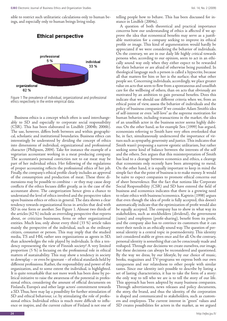sible to restrict such utilitaristic calculations only to human beings, and especially only to human beings living today.



Figure 1 The prevalence of individual, organizational and professional ethics respectively in the entire empirical data.

Business ethics is a concept which often is used interchangeably to SD and especially to corporate social responsibility (CSR). This has been elaborated in Lindfelt (2004b; 2006b). The use, however, differs both between and within geographical, scholastic and institutional boundaries. Business ethics can interestingly be understood by dividing the concept of ethics into dimensions of individual, organizational and professional character (Philipson, 2004). Take for instance the example of a vegetarian accountant working in a meat producing company. The accountant's personal conviction not to eat meat may be part of her individual ethics. Her following of the regulations of proper accounting reflects the professional ethics of her job. Finally, the company's ethical profile clearly includes an approval of the consumption and production of meat. These three dimensions may be possible to combine – or they may cause deep conflicts if the ethics focuses differ greatly, as in the case of the accountant above. The categorization hence gives a chance to understand the level of ethics involved and the perspective taken upon business ethics or ethics in general. The data shows a clear tendency towards organizational focus in articles that deal with SD in one form or another. See Figure 1. Almost two thirds of the articles (62 %) include an overriding perspective that reports about, or criticizes businesses, firms or other organizational entities. Much less, only about every third (33 %) article takes mainly the perspective of the individual, such as the ordinary citizen, consumer or person. This may imply that the studied media, TS and Hbl, rather sees organizations as agents in SD, than acknowledges the role played by individuals. Is this a tendency representing the view of Finnish society? A very limited proportion (5 %) is focusing on the professional role in ethical matters of sustainability. This may show a tendency in society to downplay – or even be ignorant – of ethical standards held by different professions. Rather, the responsibility and power of the organization, and to some extent the individual, is highlighted. It is quite remarkable that not more work has been done by political initiative to raise the awareness of the potential in professional ethics, considering the amount of official documents on Finland's, Europe's and other large actors' commitment towards a SD. Thus, here may lay a possibility for further stimulation of SD and ethical behaviour, i.e. by stimulating the role of professional ethics. Individual ethics is much more difficult to influence or inspire, and the current culture of Finland is not one of

telling people how to behave. This has been discussed for instance in Lindfelt (2004a).

A question of both theoretical and practical importance concerns how our understanding of ethics is affected if we approve the idea that economical benefits may serve as a justifiable motivation for a company seeking to improve its ethical profile or image. This kind of argumentation would hardly be appreciated if we were considering the behavior of individuals. On the contrary, we are in our daily life highly critical towards persons who, according to our opinion, seem to act in an ethically sound way only when they either expect to be rewarded for their behavior or are afraid of otherwise being punished. In theological language such a person is called a hypocrite, because all that matters for him or her is the surface; that what other people see. Concerning individuals, accordingly, we place greater value on acts that seem to flow from a spontaneous and unselfish care for the wellbeing of others, than on acts that obviously are motivated by an ambition to gain personal benefits. Does this indicate that we should use different criteria when we, from an ethical point of view, assess the behavior of individuals and the policy of business companies? If we consider Adam Smith's idea of self-interest or even "self-love" as the supreme motivation for human behavior, including transactions in the market, the idea of an unselfish actor in the business sector seems highly dubious. On the other hand, as for example Sen (1999) has argued, economists referring to Smith have very often overlooked that he, in fact, simultaneously underscored the importance of virtues such as sympathy, generosity and justice. This indicates that Smith wasn't proposing a narrow egoistic utilitarism, but rather seeking some kind of balance between the interests of the self and the others. Sen argues that this misinterpretation of Smith has lead to a cleavage between economics and ethics, a cleavege that economists only recently have been attempting to mend. On the other hand, it is equally important to keep in mind the simple fact that the point of business is to make money. It would be naïve to expect companies to promote ethical concerns out of sheer benevolence. But the fact that notions like Corporate Social Responsibility (CSR) and SD have entered the field of business and economics indicates that there is a growing need to relate ethics with business/economics. Kaptein  $(1998)$  argues that even though the idea of profit is fully accepted, this doesn't automatically indicate that the optimization of profit would also be equally accepted. The company has to show in what way its stakeholders, such as stockholders (dividend), the government (taxes) and employees (profit-sharing), benefit from its profit, and the company also has to convince its customers that it can meet their needs in an ethically sound way. The question of personal identity is a central topic in postmodernity. This identity isn't considered stable or given once and for all. On the contrary, personal identity is something that can be consciously made and reshaped. Through our decisions we create ourselves, our image, but these decisions can always be reconsidered and questioned. By the way we dress, by our lifestyle, by our choice of music, books, magazines and TV-programs we express both our own uniqueness and our relatedness to other people with similar tastes. Since our identity isn't possible to describe by listing a set of lasting characteristics, it has to take the form of a story: the only way to tell who we are is to tell the story of our life. This approach has been adopted by many business companies. Through advertisments, news releases and policy documents, the story, the brand, and thus the identity, of the corporation is shaped and communicated to stakeholders, such as customers and employees. The current interest in "green" values and SD creates possibilities for actors in the market, as we argued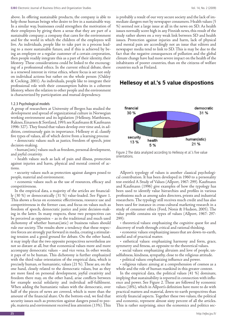above. In offering sustainable products, the company is able to help those human beings who desire to live in a sustainable way. In a similar way, businesses could strengthen the motivation of their employees by giving them a sense that they are part of a sustainable company; a company that cares for the environment and for the world in which the children of the employees will live. As individuals, people like to take part in a process leading to a more sustainable future, and if this is achieved by being an employee or a regular customer of a certain corporation, then people readily integrate this as a part of their identity, their lifestory. These considerations could be linked to the encouraging of a professional ethics. In the current ethical debate, there is a renewed interest in virtue ethics, where focus is set not only on individual actions but rather on the whole person (Oakley & Cocking, 2001). As individuals, people like to integrate their professional role with their consumption habits in a coherent lifestory, where the relation to other people and the environment is characterized by participation and mutual dependency.

#### 1.2.3 Psychological models

A group of researchers at University of Bergen has studied the development and spread of organizational culture in Norwegian working environment and its legislation (Hellesoy, Matthiesen, Raknes, Einarsen & Sortland, 1993; see Kaufmann & Kaufmann 1996: 327). They found that values develop over time and, in addition, continuously gain in importance. Hellesoy et al. classify five types of values, all of which derive from a learning process:

• democratic values: such as justice, freedom of speech, joint decision-making.

• human(istic) values: such as freedom, personal development, and joyful creativity.

• health values: such as lack of pain and illness, protection against injuries and harm, physical and mental control of actions.

• security values: such as protection against dangers posed to people, material and environment.

• economic values: such as the use of resources, efficacy and competitiveness.

In the empirical data, a majority of the articles are financially (30 %) or democratically (31 %) value-loaded. See Figure 1. This shows a focus on economic effectiveness, resource use and competitiveness in the former case, and focus on values such as freedom of speech, democratic justice and joint decision-making in the latter. In many respects, these two perspectives can be perceived as opposites – as in the traditional and much used dichotomy of whether human(istic) or business values should rule our society. The results show a tendency that these respective forces are strongly put forward in media, creating a stimulating tension and a good ground for debate. On the other hand, it may imply that the two opposite perspectives nevertheless are not so distant at all, but that economical values more and more accompany democratic values – and vice versa. In other words; it pays of to be human. This dichotomy is further emphasized with the third value orientation of the empirical data, which is precisely human, or humanistic, values (21 %). These are, on the one hand, closely related to the democratic values, but as they are more fixed on personal development, joyful creativity and freedom there may, on the other hand, arise conflicts between for example social solidarity and individual self-fulfilment. When adding the humanistic values with the democratic, over half of the pieces of news are covered, which is more than the amount of the financial share. On the bottom-end, we find that security issues such as protection against dangers posed to people, materia and environment received less attention (13%). This

is probably a result of our very secure society and the lack of immediate dangers met by newspaper consumers. Health values (5 %) seemed not a large issue at all in the news on SD. As health issues normally score high in any Finnish news, this result of the study rather shows on a very weak link between SD and health issues. Protection against injuries and harm, lack of physical and mental pain are accordingly not an issue that editors and newspaper media tend to link to SD. This is may be due to the fact that the negative consequences of pollution and the global climate change have had more severe impact on the health of the inhabitants of poorer countries, than on the citizens of welfare countries such as Finland.

# Hellesoy et al.'s 5 value dispostions



Figure 2 The data analyzed according to Hellesoy et al.'s five value orientations.

Allport's typology of values is another classical psychological contribution. It has been developed in 1960 to a personality test entitled A Study of Values (Allport, 1967: 299). Kaufmann and Kaufmann (1996) give examples of how the typology has been used to identify value hierarchies and profiles in various professions such as among sales directors, priests and industrial researchers. The typology still receives much credit and has also been used for instance in cross-cultural marketing research in a study of consumer ethics (Ford, Nonis & Hudson, 2005). The value profile contains six types of values (Allport, 1967: 297- 299):

• theoretical values: emphasizing the cognitive quest for and discovery of truth through critical and rational thinking.

• economic values: emphasizing issues that are down-to-earth, useful and of practical matter.

• esthetical values: emphasizing harmony and form, grace, symmetry and fitness, an opposite to the theoretical values.

• social values: emphasizing altruism and love of people, unselfishness, kindness, sympathy, close to the religious attitude.

• political values: emphasizing influence and power.

• religious values: aiming at a comprehension of cosmos as a whole and the role of human mankind in this greater context.

In the empirical data, the political values  $(41 \%)$  dominate, implying that sustainability is reported in connection with influence and power. See Figure 2. These are followed by economic values (18%), which in Allport's definition have more to do with practical matters and material, down-to-earth perspectives than strictly financial aspects. Together these two values, the political and economic, represent almost sixty percent of all the articles. This is rather surprising, since the economics and politics sec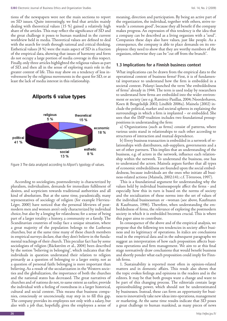tions of the newspapers were not the main sections to report on SD issues. Quite interestingly, we find that articles mainly dealing with theoretical values (15 %) gained a relatively high share of the articles. This may reflect the significance of SD and the great challenge it poses to human mankind in the current worldview held in media. Theoretical values are defined to deal with the search for truth through rational and critical thinking. Esthetical values (8 %) were the main aspect of SD in a fraction of the empirical data, showing that issues of harmony and form do not occupy a large portion of media coverage in this respect. Finally, only three articles highlighted the religious values as part of SD, and then all in the sense of exploring man's role in the greater context of life. This may show on a tendency of less involvement by the religious movements in the quest for SD, or at least the lack of media interest in this relationship.

#### religious theoretical 5% 15% economic 18% political 41% esthetic social 8% 13%

# **Allports 6 value types**

Figure 3 The data analyzed according to Allport's typology of values.

According to sociologists, postmodernity is characterized by pluralism, individualism, demands for immediate fulfilment of desires, and scepticism towards traditional authorities and all kind of absolutism. But at the same time, paradoxically, many representatives of sociology of religion (for example Hervieu-Léger, 2000) have noticed that the personal lifeviews of postmodern men and women aren't only characterized by individual choice, but also by a longing for relatedness; for a sense of being part of a larger totality: a history, a community or a family. The Scandinavian countries of today face a unique situation, where a great majority of the population belongs to the Lutheran churches, but at the same time many of these church members in empirical surveys declare, that they don't believe in the fundamental teachings of their church. This peculiar fact has by some sociologists of religion (Bäckström et al., 2004) been described by the notion "believing in belonging", which indicates that the individuals in question understand their relation to religion primarily as a question of belonging to a larger entity, not as a question of personal faith: belonging is more important than believing. As a result of the secularization in the Western societies and the globalization, the importance of both the churches and the national states has decreased. The great narratives of churches and of nations do not, to same extent as earlier, provide the individual with a feeling of rootedness in a larger historical, cultural and social context. This means that business companies, consciously or unconciously, may step in to fill this gap. The company provides its employees not only with a salary, but also with a job that, hopefully, gives the employees a sense of

meaning, direction and participation. By being an active part of the organization, the individual, together with others, strive towards "a common good", because they all benefit if the company makes progress. An expression of this tendency is the idea that a company can be described as a living organism with a "soul". Companies these days also have values, just like people. As a consequence, the company is able to place demands on its employees: they need to show that they are worthy members of the organism, otherwise they can be "cut off from the branch".

### **1.3 Implications for a Finnish business context**

What implications can be drawn from the empirical data to the operational context of business firms? First, it is of fundamental importance to understand how the firm is embedded in a societal context. Polanyi launched the term "the embeddedness of firms" already in 1944. The term is used today by researchers to understand how firms are embedded into the wider environment or society (see e.g. Ramírez-Pasillas, 2004; Noorderhaven, Koen & Beugelsdijk 2002; Lindfelt 2006a). Mainela (2002) include the political, market and societal spheres in explaining the surroundings in which a firm is implanted – or embedded. She sees that the IMP-tradition includes two foundational presuppositions in understanding the firm:

a) Organizations (such as firms) consist of patterns, where various units stand in relationships to each other according to structures of interaction and mutual dependence.

b) Every business transaction is embedded in a network of relationships with distributors, sub-suppliers, governments and a set of other partners. This implies that an understanding of the business, e.g. of actors in the network, influence each relationship within the network. To understand the business, one has to understand the actors. Mainela argues further that all types of economic embededdness are founded upon the social embeddedness, because individuals are the ones who initiate all business-related actions (Mainela, 2002:141; c.f. Törnroos, 1997).

This is a foundational argument for understanding why the values held by individual businesspeople affect the firms - and especially how this in turn is based on the norms of society and the socialization of these norms into the set of values of the individual businessman or –woman (see above, Kaufmann & Kaufmann, 1996). Therefore, when understanding the embeddedness of firms, the relevance of exploring the postmodern society in which it is embedded becomes crucial. This is where this paper aims to contribute.

In consequence of the above and of the empirical analysis, we propose that the following ten tendencies in society affect business and its legitimacy of operations. In italics are conclusions read in the empirical data and in the subsequent paragraphs we suggest an interpretation of how each proposition affects business operations and firm management. We aim to at this final stage normatively draw conclusions that would benefit business and shortly ponder what each proposition could imply for Finnish firms.

1. Sustainability is reported most often in opinion-related matters and in domestic affairs. This result also shows that the topic evokes feelings and opinions in the readers and in the editors. It may be that both groups want a change and want to be part of this changing process. The editorials contain large opinionbuilding power, which should not be underestimated by businesses. Instead, these can form an opportunity for business to innovatively take new ideas into operations, management or marketing. At the same time results indicate that SD poses a great challenge to human mankind, as many pieces of news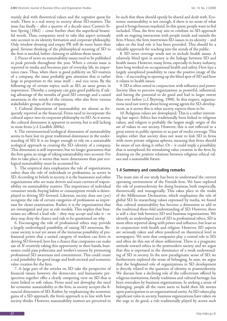mainly deal with theoretical values and the cognitive quest for truth. There is a real worry in society about SD-matters. The issue has finally – after a quarter of a decade since Carson's Silent Spring (1962) – come further than the superficial beautiful words. Thus, companies need to take this aspect seriously into account in its identity formation and corporate philosophy. Only window-dressing and empty PR will do more harm than good. Serious thinking of the philosophical meaning of SD to the firm is needed, before claiming to address these issues.

2. Pieces of news on sustainability issues tend to be published in peak periods throughout the year. When a certain issue is reported in media and becomes part of everyday life, its importance rises. Thus, when there is good publicity on SD-matters of a company, the issue probably gets attention that is rather large in proportion to the issue itself – and vice versa. By the following-up of certain topics, such as SD, an issue grows in importance. Thereby, a company can gain good publicity if taking advantage of the months of good SD coverage and a raised awareness in the minds of the citizens, who also form various stakeholder groups of the company.

3. Cultural dimensions of sustainability are almost as frequently reported as the financial. Firms need to incorporate the cultural aspect into its corporate philosophy on SD. As it seems, the cultural dimension is apparent in society, but is still lacking in most firms (c.f. Lindfelt 2004a).

4. The environmental/ecological dimension of sustainability seems to have lost its great traditional dominance in the understanding of SD. It is no longer enough to rely on a sustainable ecological approach in creating the SD–identity of a company. This dimension is still important, but no longer guarantees that the firm gains an image of taking sustainability into account. For this to take place, it seems that more dimensions than just ecological sustainability must be accounted for.

5. The empirical data emphasizes the role of organizations, rather than the role of individuals or professions, as actors in SD. According to beliefs in society, it is the businesses and other organizations who are main drivers and main carriers of responsibility on sustainability matters. The importance of individual consumer needs, buying habits or consumption trends is downplayed in driving SD forward. Likewise, society does not (yet) recognize the role of certain categories of professions as important for closer examination. Rather, it is the organizations that are investigated and put as role models. This implies that businesses are offered a lead role – they may accept and take it - or they may deny the chance and risk to be questioned on why.

6. Encouraging the role of professional ethics may provide a largely undeveloped possibility of raising SD awareness. Because society is not yet aware of the immense possibility of professional power that a united category of workers can form in driving SD forward, here lies a chance that companies can make use of. If creatively taking this opportunity in their hands, businesses could pass politicians and worker's unions by promoting professional SD awareness and commitment. This could create a real possibility for good image and both societal and economic value creation for the firm.

7. A large part of the articles on SD take the perspective of financial issues; however, the democratic and humanistic perspectives together offer a clearly competing view on SD that is more linked to soft values. Firms need not downplay the need for economic sustainability in the firm, as society accepts the financial dimension of SD. Rather, by emphasizing the economic gains of a SD-approach, the firm's approach is in line with how society thinks. However, sustainability matters are perceived to

be such that these should openly be shared and dealt with. Economic sustainability is not enough, if there is no sense of what good it brings human mankind. In this quest, people want to feel included. Thus, the firm may aim to combine its SD-approach with an ongoing interaction with people inside and outside the firm. Hence, the firm intertwines SD-issues in its identity – and takes on the lead role it has been provided. This should be a valuable approach for reaching into the minds of the public.

8. SD news coverage tends not to include health issues. A relatively blind spot in society is the linkage between SD and health issues. However, many firms, especially in heavy industry, have long worked on occupational health and safety. Here lays a largely unexplored possibility to raise the positive image of the firm – if succeeding in opening up the blind spot of SD and how it relates to health issues.

9. SD is often noted in conjunction with influence and power. Society likes to perceive organizations as powerful, influential, and having the potential to do good and bad in larger extent than ever before (c.f. Brytting, 1998). In this respect, organizations need not worry about being strong agents for SD-development, as it seems this is what society expects them to be.

10. Religious values are downplayed. This is a rather interesting last aspect. Ethics has traditionally been linked to religious values, and religion is probably the largest single origin of the set of values in our society. However, this is not reflected to a great extent in public opinion or as part of media coverage. This implies either that society does not want to link SD in firms with more private religious spheres, meaning that firms should be aware of not doing it either. Or – it could imply a possibility that is unexplored, for stimulating value creation in the firm, by drawing on the positive relations between religious ethical values and a sustainable future.

#### **1.4 Summary and concluding remarks**

The main aim of our study has been to understand the current operating environment of the Finnish firm. We have explored the role of postmodernity for doing business, both empirically, theoretically and managerially. This takes place in the midst of the Millennium Declaration, which emphasizes the role of global SD. In researching values expressed by media, we found that cultural sustainability has become a dimension to add to the traditional three-fold understanding of SD. However, there is still a clear link between SD and business organizations. We identify an undeveloped area of SD in professional ethics. SD is most often reported along with power and influence, but least so in conjunction with health and religion. However, SD aspects are seriously taken and often pondered on theoretical level in newspapers. We note that companies play a central role in SD, and often do this out of sheer selfinterest. There is a pragmatic attitude toward ethics in the postmodern society and we argue that this is expressed in the dominance of a weak understanding of SD in society. In the new paradigmatic sense of SD, we furthermore explored the sense of belonging. In sum, we argue that the heightened role of organizations in SD development is directly related to the question of identity in postmodernity. We discuss how a declining role of the collectivism offered by religious institutions, family traditions and cultural heritage, has been overtaken by business organizations. In seeking a sense of belonging, people all the more seem to build their life stories upon participation in an organizational entity. As SD values play significant roles in society, business organizations have taken on the urge to do good, a role traditionally played by actors such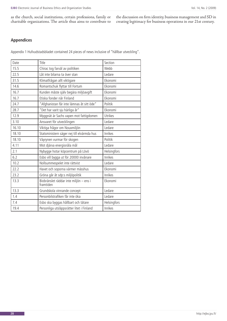# **Appendices**

Appendix 1 Hufvudstadsbladet contained 24 pieces of news inclusive of "hållbar utveckling".

| Date  | Title                                               | Section        |
|-------|-----------------------------------------------------|----------------|
| 15.5  | Chirac tog farväl av politiken                      | Webb           |
| 22.5  | Låt inte bilarna ta över stan                       | Ledare         |
| 31.5  | Klimatfrågan allt viktigare                         | Ekonomi        |
| 14.6  | Romantschuk flyttar till Fortum                     | Ekonomi        |
| 16.7  | Kunden måste själv begära miljöavgift               | Ekonomi        |
| 16.7  | Etiska fonder når Finland                           | Ekonomi        |
| 24.7  | "Afghanistan får inte lämnas åt sitt öde"           | Politik        |
| 28.7  | "Det har varit sju härliga år"                      | Ekonomi        |
| 12.9  | Myggnät är Sachs vapen mot fattigdomen              | Utrikes        |
| 3.10  | Ansvaret för utvecklingen                           | Ledare         |
| 16.10 | Viktiga frågor om Nouxmiljön                        | Ledare         |
| 18.10 | Statsministern säger nej till elvärmda hus          | Inrikes        |
| 18.10 | Väyrynen vurmar för skogen                          | Politik        |
| 4.11  | Mot djärva energisnåla mål                          | Ledare         |
| 2.1   | Nybygge hotar köpcentrum på Lövö                    | Helsingfors    |
| 6.2   | Esbo vill bygga ut för 20000 invånare               | <b>Inrikes</b> |
| 10.2  | Nollsummespelet inte rättvist                       | Ledare         |
| 22.2  | Havet och soporna värmer mässhus                    | Ekonomi        |
| 23.2  | Gröna går åt sdp:s miljöpolitik                     | Inrikes        |
| 13.3  | Biobränslet räddar inte miljön - ens i<br>framtiden | Ekonomi        |
| 13.3  | Grundskola vinnande concept                         | Ledare         |
| 1.4   | Personbilstrafiken får inte öka                     | Ledare         |
| 7.4   | Esbo ska byggas hållbart och tätare                 | Helsingfors    |
| 19.4  | Personliga utsläppsrätter litet i Finland           | <b>Inrikes</b> |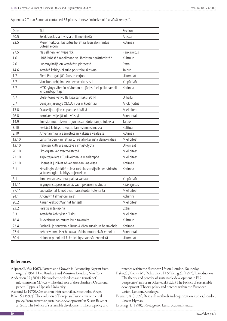Appendix 2 Turun Sanomat contained 33 pieces of news inclusive of "kestävä kehitys".

| Date  | Title                                                                                            | Section       |
|-------|--------------------------------------------------------------------------------------------------|---------------|
| 20.5  | Seikkisrockissa luvassa pellemeininkiä                                                           | Ajassa        |
| 22.5  | Meren turkoosi laatoitus herättää Teersalon rantaa<br>uuteen eloon                               | Kotimaa       |
| 27.5  | Naisellinen kehityspankki                                                                        | Pääkirjoitus  |
| 1.6.  | Lisää krääsää maailmaan vai ihmisten herättämistä?                                               | Kulttuuri     |
| 2.6   | Luomuyrittäjä on kestävästi pinteessä                                                            | Extra         |
| 14.6  | Kestävä kehitys ei sulje pois talouskasvua                                                       | Talous        |
| 1.7   | Pieni Portugali jää Saksan varjoon                                                               | Ulkomaat      |
| 3.7   | Vuosituhatohjelma etenee verkkaisesti                                                            | Ympäristö     |
| 3.7   | MTK ryhtyy vihreän pääoman etujärjestöksi palkkaamalla<br>ympäristöjohtajan                      | Kotimaa       |
| 4.7   | Etelä-Korea vahvoilla kisaisännäksi 2014                                                         | Urheilu       |
| 5.7   | Venäjän jäsenyys OECD:n uusin koetinkivi                                                         | Aliokirjoitus |
| 13.8  | Osakesijoittajien ei parane hätäillä                                                             | Mielipiteet   |
| 26.8  | Koroisten viljelijäsuku väistyi                                                                  | Sunnuntai     |
| 14.9  | Ilmastonmuutoksen torjunnassa odotetaan jo tuloksia                                              | Talous        |
| 3.10  | Kestävä kehitys toteutuu fantasiamaisemassa                                                      | Kulttuuri     |
| 8.10  | Ahvenanmaalla äänestetään kaksissa vaaleissa                                                     | Kotimaa       |
| 13.10 | Länsimaiden kannattaa tukea afrikkalaista demokratiaa                                            | Mielipiteet   |
| 13.10 | Halonen kiitti uraauutavaa ilmastotyötä                                                          | Ulkomaat      |
| 20.10 | Ekologista kehitysyhteistyötä                                                                    | Mielipiteet   |
| 23.10 | Kirjoittajavieras: Tuulivoimaa ja maalämpöä                                                      | Mielipiteet   |
| 23.10 | Liberaalit juhlivat Ahvenanmaan vaaleissa                                                        | Kotimaa       |
| 3.11  | Nesslingin säätiöltä tukea turkulaistutkijoille ympäristön<br>ja bioenergian kehitysprojekteihin | Kotimaa       |
| 6.11  | Ihminen sodassa maapalloa vastaan                                                                | Ympäristö     |
| 11.11 | Ei ympäristöpessimismiä, vaan jokaisen vastuuta                                                  | Pääkirjoitus  |
| 27.11 | Luokattomat lukiot ovat massatuotantotehtaita                                                    | Mielipiteet   |
| 24.1  | Anonyymit ilmastonilaajat                                                                        | Kolumni       |
| 20.2  | Kauan eläkööt Wanhat tanssit!                                                                    | Mielipiteet   |
| 23.2  | Paratiisin takapiha                                                                              | Extra         |
| 8.3   | Kestävän kehityksen Turku                                                                        | Mielipiteet   |
| 18.4  | Tulevaisuus on muuta kuin tavaroita                                                              | Kulttuuri     |
| 23.4  | Sosiaali- ja terveysala Turun AMK:n suosituin hakukohde                                          | Kotimaa       |
| 27.4  | Kehitysvammaiset haluavat töihin, mutta eivät ehdoitta                                           | Sunnuntai     |
| 30.4  | Halonen pahoitteli EU:n kehitysavun vähenemistä                                                  | Ulkomaat      |

# **References**

- Allport, G. W. (1967), Pattern and Growth in Personality. Reprint from original 1961. Holt, Rinehart and Winston, London, New York.
- Andersson, U. (2001), Network embeddedness and transfer of information in MNCs – The dual role of the subsidiary. Occasional papers. Uppsala, Uppsala University.
- Asplund, J. (1970), Om undran inför samhället, Stockholm, Argos. Baker, S. (1997) "The evolution of European Union environmental
- policy. From growth to sustainable development?' in Susan Baker et al. (ed.), The Politics of sustainable development. Theory, policy and

practice within the European Union, London, Routledge.

- Baker, S., Kousis, M., Richardson, D. & Young, S. (1997), "Introduction. The theory and practice of sustainable development in EU perspective", in Susan Baker et.al. (Eds.) The Politics of sustainable development. Theory, policy and practice within the European Union, London, Routledge.
- Bryman, A. (1989), Research methods and organization studies, London, Unwin Hyman.
- Brytting, T. (1998), Företagsetik. Lund, Studentlitteratur.